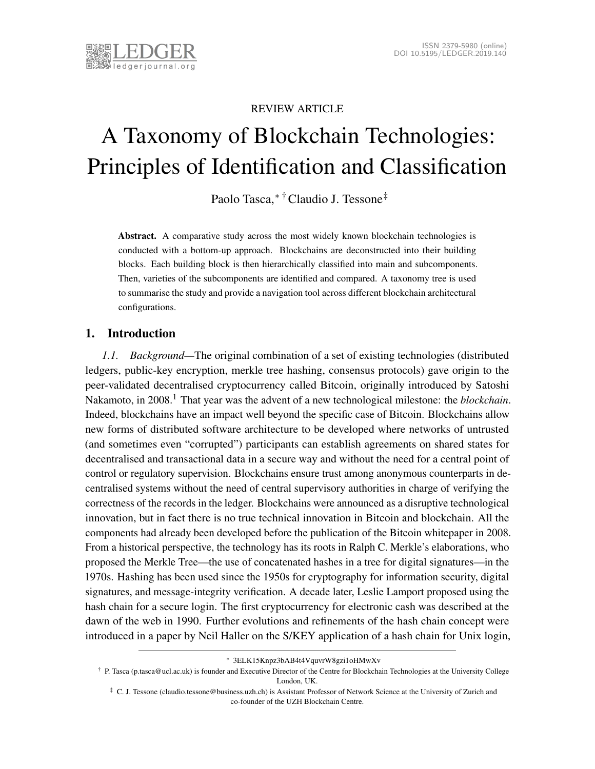

# REVIEW ARTICLE

# A Taxonomy of Blockchain Technologies: Principles of Identification and Classification

Paolo Tasca,[∗](#page-0-0) [†](#page-0-1)Claudio J. Tessone[‡](#page-0-2)

Abstract. A comparative study across the most widely known blockchain technologies is conducted with a bottom-up approach. Blockchains are deconstructed into their building blocks. Each building block is then hierarchically classified into main and subcomponents. Then, varieties of the subcomponents are identified and compared. A taxonomy tree is used to summarise the study and provide a navigation tool across different blockchain architectural configurations.

# 1. Introduction

*1.1. Background—*The original combination of a set of existing technologies (distributed ledgers, public-key encryption, merkle tree hashing, consensus protocols) gave origin to the peer-validated decentralised cryptocurrency called Bitcoin, originally introduced by Satoshi Nakamoto, in 2008.<sup>[1](#page-31-0)</sup> That year was the advent of a new technological milestone: the *blockchain*. Indeed, blockchains have an impact well beyond the specific case of Bitcoin. Blockchains allow new forms of distributed software architecture to be developed where networks of untrusted (and sometimes even "corrupted") participants can establish agreements on shared states for decentralised and transactional data in a secure way and without the need for a central point of control or regulatory supervision. Blockchains ensure trust among anonymous counterparts in decentralised systems without the need of central supervisory authorities in charge of verifying the correctness of the records in the ledger. Blockchains were announced as a disruptive technological innovation, but in fact there is no true technical innovation in Bitcoin and blockchain. All the components had already been developed before the publication of the Bitcoin whitepaper in 2008. From a historical perspective, the technology has its roots in Ralph C. Merkle's elaborations, who proposed the Merkle Tree—the use of concatenated hashes in a tree for digital signatures—in the 1970s. Hashing has been used since the 1950s for cryptography for information security, digital signatures, and message-integrity verification. A decade later, Leslie Lamport proposed using the hash chain for a secure login. The first cryptocurrency for electronic cash was described at the dawn of the web in 1990. Further evolutions and refinements of the hash chain concept were introduced in a paper by Neil Haller on the S/KEY application of a hash chain for Unix login,

<span id="page-0-0"></span><sup>∗</sup> 3ELK15Knpz3bAB4t4VquvrW8gzi1oHMwXv

<span id="page-0-1"></span><sup>†</sup> P. Tasca (p.tasca@ucl.ac.uk) is founder and Executive Director of the Centre for Blockchain Technologies at the University College London, UK.

<span id="page-0-2"></span><sup>‡</sup> C. J. Tessone (claudio.tessone@business.uzh.ch) is Assistant Professor of Network Science at the University of Zurich and co-founder of the UZH Blockchain Centre.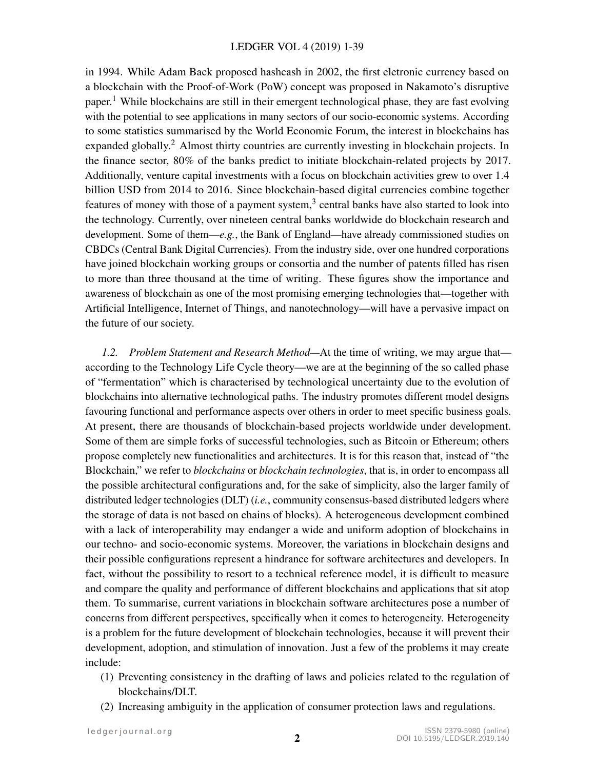#### LEDGER VOL 4 (2019) 1-39

in 1994. While Adam Back proposed hashcash in 2002, the first eletronic currency based on a blockchain with the Proof-of-Work (PoW) concept was proposed in Nakamoto's disruptive paper.<sup>[1](#page-31-0)</sup> While blockchains are still in their emergent technological phase, they are fast evolving with the potential to see applications in many sectors of our socio-economic systems. According to some statistics summarised by the World Economic Forum, the interest in blockchains has expanded globally.<sup>[2](#page-31-1)</sup> Almost thirty countries are currently investing in blockchain projects. In the finance sector, 80% of the banks predict to initiate blockchain-related projects by 2017. Additionally, venture capital investments with a focus on blockchain activities grew to over 1.4 billion USD from 2014 to 2016. Since blockchain-based digital currencies combine together features of money with those of a payment system, $3$  central banks have also started to look into the technology. Currently, over nineteen central banks worldwide do blockchain research and development. Some of them—*e.g.*, the Bank of England—have already commissioned studies on CBDCs (Central Bank Digital Currencies). From the industry side, over one hundred corporations have joined blockchain working groups or consortia and the number of patents filled has risen to more than three thousand at the time of writing. These figures show the importance and awareness of blockchain as one of the most promising emerging technologies that—together with Artificial Intelligence, Internet of Things, and nanotechnology—will have a pervasive impact on the future of our society.

*1.2. Problem Statement and Research Method—*At the time of writing, we may argue that according to the Technology Life Cycle theory—we are at the beginning of the so called phase of "fermentation" which is characterised by technological uncertainty due to the evolution of blockchains into alternative technological paths. The industry promotes different model designs favouring functional and performance aspects over others in order to meet specific business goals. At present, there are thousands of blockchain-based projects worldwide under development. Some of them are simple forks of successful technologies, such as Bitcoin or Ethereum; others propose completely new functionalities and architectures. It is for this reason that, instead of "the Blockchain," we refer to *blockchains* or *blockchain technologies*, that is, in order to encompass all the possible architectural configurations and, for the sake of simplicity, also the larger family of distributed ledger technologies (DLT) (*i.e.*, community consensus-based distributed ledgers where the storage of data is not based on chains of blocks). A heterogeneous development combined with a lack of interoperability may endanger a wide and uniform adoption of blockchains in our techno- and socio-economic systems. Moreover, the variations in blockchain designs and their possible configurations represent a hindrance for software architectures and developers. In fact, without the possibility to resort to a technical reference model, it is difficult to measure and compare the quality and performance of different blockchains and applications that sit atop them. To summarise, current variations in blockchain software architectures pose a number of concerns from different perspectives, specifically when it comes to heterogeneity. Heterogeneity is a problem for the future development of blockchain technologies, because it will prevent their development, adoption, and stimulation of innovation. Just a few of the problems it may create include:

- (1) Preventing consistency in the drafting of laws and policies related to the regulation of blockchains/DLT.
- (2) Increasing ambiguity in the application of consumer protection laws and regulations.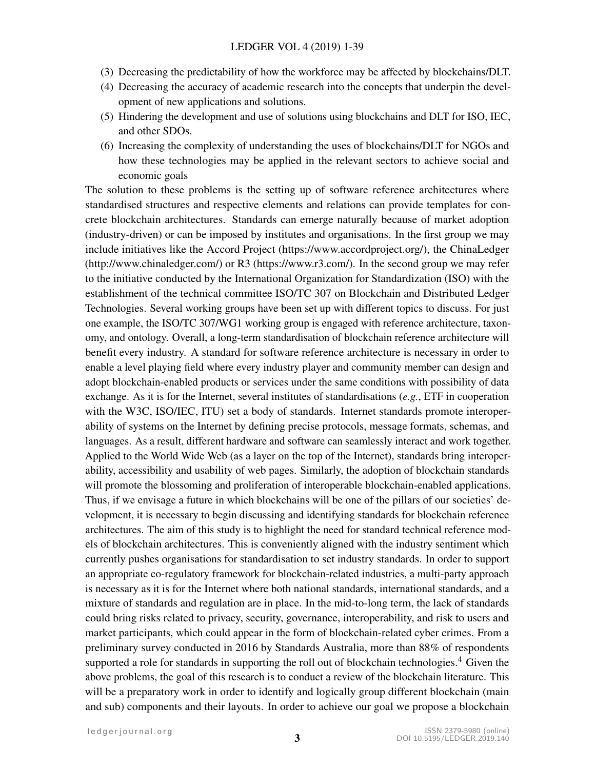- (3) Decreasing the predictability of how the workforce may be affected by blockchains/DLT.
- (4) Decreasing the accuracy of academic research into the concepts that underpin the development of new applications and solutions.
- (5) Hindering the development and use of solutions using blockchains and DLT for ISO, IEC, and other SDOs.
- (6) Increasing the complexity of understanding the uses of blockchains/DLT for NGOs and how these technologies may be applied in the relevant sectors to achieve social and economic goals

The solution to these problems is the setting up of software reference architectures where standardised structures and respective elements and relations can provide templates for concrete blockchain architectures. Standards can emerge naturally because of market adoption (industry-driven) or can be imposed by institutes and organisations. In the first group we may include initiatives like the Accord Project (https://www.accordproject.org/), the ChinaLedger (http://www.chinaledger.com/) or R3 (https://www.r3.com/). In the second group we may refer to the initiative conducted by the International Organization for Standardization (ISO) with the establishment of the technical committee ISO/TC 307 on Blockchain and Distributed Ledger Technologies. Several working groups have been set up with different topics to discuss. For just one example, the ISO/TC 307/WG1 working group is engaged with reference architecture, taxonomy, and ontology. Overall, a long-term standardisation of blockchain reference architecture will benefit every industry. A standard for software reference architecture is necessary in order to enable a level playing field where every industry player and community member can design and adopt blockchain-enabled products or services under the same conditions with possibility of data exchange. As it is for the Internet, several institutes of standardisations (*e.g.*, ETF in cooperation with the W3C, ISO/IEC, ITU) set a body of standards. Internet standards promote interoperability of systems on the Internet by defining precise protocols, message formats, schemas, and languages. As a result, different hardware and software can seamlessly interact and work together. Applied to the World Wide Web (as a layer on the top of the Internet), standards bring interoperability, accessibility and usability of web pages. Similarly, the adoption of blockchain standards will promote the blossoming and proliferation of interoperable blockchain-enabled applications. Thus, if we envisage a future in which blockchains will be one of the pillars of our societies' development, it is necessary to begin discussing and identifying standards for blockchain reference architectures. The aim of this study is to highlight the need for standard technical reference models of blockchain architectures. This is conveniently aligned with the industry sentiment which currently pushes organisations for standardisation to set industry standards. In order to support an appropriate co-regulatory framework for blockchain-related industries, a multi-party approach is necessary as it is for the Internet where both national standards, international standards, and a mixture of standards and regulation are in place. In the mid-to-long term, the lack of standards could bring risks related to privacy, security, governance, interoperability, and risk to users and market participants, which could appear in the form of blockchain-related cyber crimes. From a preliminary survey conducted in 2016 by Standards Australia, more than 88% of respondents supported a role for standards in supporting the roll out of blockchain technologies.<sup>[4](#page-31-3)</sup> Given the above problems, the goal of this research is to conduct a review of the blockchain literature. This will be a preparatory work in order to identify and logically group different blockchain (main and sub) components and their layouts. In order to achieve our goal we propose a blockchain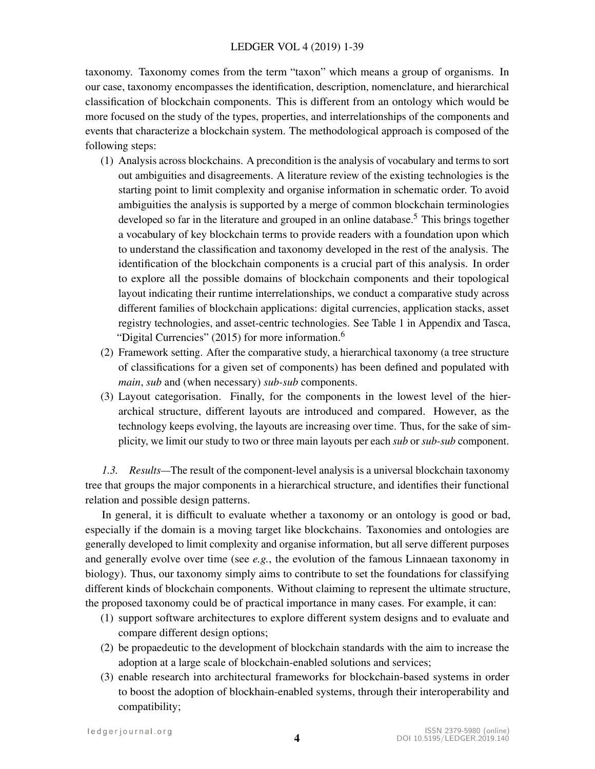taxonomy. Taxonomy comes from the term "taxon" which means a group of organisms. In our case, taxonomy encompasses the identification, description, nomenclature, and hierarchical classification of blockchain components. This is different from an ontology which would be more focused on the study of the types, properties, and interrelationships of the components and events that characterize a blockchain system. The methodological approach is composed of the following steps:

- (1) Analysis across blockchains. A precondition is the analysis of vocabulary and terms to sort out ambiguities and disagreements. A literature review of the existing technologies is the starting point to limit complexity and organise information in schematic order. To avoid ambiguities the analysis is supported by a merge of common blockchain terminologies developed so far in the literature and grouped in an online database.<sup>[5](#page-31-4)</sup> This brings together a vocabulary of key blockchain terms to provide readers with a foundation upon which to understand the classification and taxonomy developed in the rest of the analysis. The identification of the blockchain components is a crucial part of this analysis. In order to explore all the possible domains of blockchain components and their topological layout indicating their runtime interrelationships, we conduct a comparative study across different families of blockchain applications: digital currencies, application stacks, asset registry technologies, and asset-centric technologies. See Table [1](#page-38-0) in Appendix and Tasca, "Digital Currencies" (2015) for more information.<sup>[6](#page-31-5)</sup>
- (2) Framework setting. After the comparative study, a hierarchical taxonomy (a tree structure of classifications for a given set of components) has been defined and populated with *main*, *sub* and (when necessary) *sub-sub* components.
- (3) Layout categorisation. Finally, for the components in the lowest level of the hierarchical structure, different layouts are introduced and compared. However, as the technology keeps evolving, the layouts are increasing over time. Thus, for the sake of simplicity, we limit our study to two or three main layouts per each *sub* or *sub-sub* component.

*1.3. Results—*The result of the component-level analysis is a universal blockchain taxonomy tree that groups the major components in a hierarchical structure, and identifies their functional relation and possible design patterns.

In general, it is difficult to evaluate whether a taxonomy or an ontology is good or bad, especially if the domain is a moving target like blockchains. Taxonomies and ontologies are generally developed to limit complexity and organise information, but all serve different purposes and generally evolve over time (see *e.g.*, the evolution of the famous Linnaean taxonomy in biology). Thus, our taxonomy simply aims to contribute to set the foundations for classifying different kinds of blockchain components. Without claiming to represent the ultimate structure, the proposed taxonomy could be of practical importance in many cases. For example, it can:

- (1) support software architectures to explore different system designs and to evaluate and compare different design options;
- (2) be propaedeutic to the development of blockchain standards with the aim to increase the adoption at a large scale of blockchain-enabled solutions and services;
- (3) enable research into architectural frameworks for blockchain-based systems in order to boost the adoption of blockhain-enabled systems, through their interoperability and compatibility;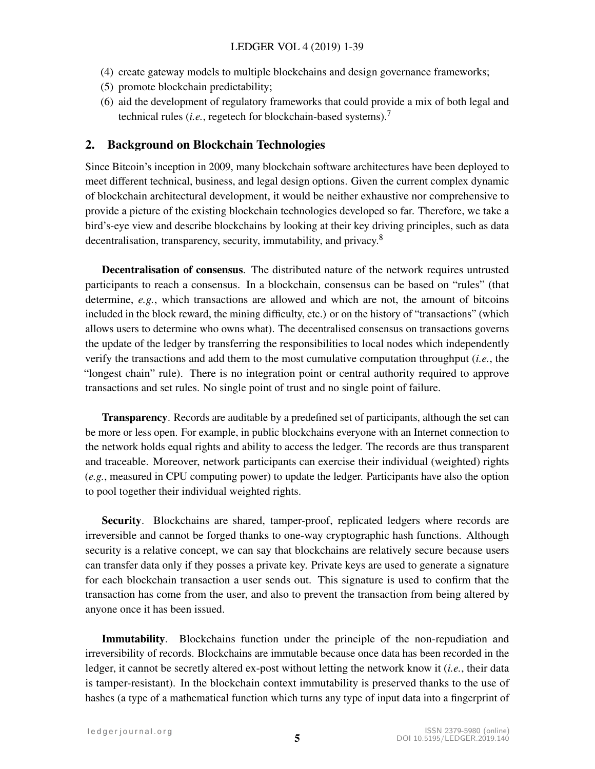- (4) create gateway models to multiple blockchains and design governance frameworks;
- (5) promote blockchain predictability;
- (6) aid the development of regulatory frameworks that could provide a mix of both legal and technical rules (*i.e.*, regetech for blockchain-based systems).[7](#page-31-6)

## 2. Background on Blockchain Technologies

Since Bitcoin's inception in 2009, many blockchain software architectures have been deployed to meet different technical, business, and legal design options. Given the current complex dynamic of blockchain architectural development, it would be neither exhaustive nor comprehensive to provide a picture of the existing blockchain technologies developed so far. Therefore, we take a bird's-eye view and describe blockchains by looking at their key driving principles, such as data decentralisation, transparency, security, immutability, and privacy.<sup>[8](#page-31-7)</sup>

Decentralisation of consensus. The distributed nature of the network requires untrusted participants to reach a consensus. In a blockchain, consensus can be based on "rules" (that determine, *e.g.*, which transactions are allowed and which are not, the amount of bitcoins included in the block reward, the mining difficulty, etc.) or on the history of "transactions" (which allows users to determine who owns what). The decentralised consensus on transactions governs the update of the ledger by transferring the responsibilities to local nodes which independently verify the transactions and add them to the most cumulative computation throughput (*i.e.*, the "longest chain" rule). There is no integration point or central authority required to approve transactions and set rules. No single point of trust and no single point of failure.

Transparency. Records are auditable by a predefined set of participants, although the set can be more or less open. For example, in public blockchains everyone with an Internet connection to the network holds equal rights and ability to access the ledger. The records are thus transparent and traceable. Moreover, network participants can exercise their individual (weighted) rights (*e.g.*, measured in CPU computing power) to update the ledger. Participants have also the option to pool together their individual weighted rights.

Security. Blockchains are shared, tamper-proof, replicated ledgers where records are irreversible and cannot be forged thanks to one-way cryptographic hash functions. Although security is a relative concept, we can say that blockchains are relatively secure because users can transfer data only if they posses a private key. Private keys are used to generate a signature for each blockchain transaction a user sends out. This signature is used to confirm that the transaction has come from the user, and also to prevent the transaction from being altered by anyone once it has been issued.

Immutability. Blockchains function under the principle of the non-repudiation and irreversibility of records. Blockchains are immutable because once data has been recorded in the ledger, it cannot be secretly altered ex-post without letting the network know it (*i.e.*, their data is tamper-resistant). In the blockchain context immutability is preserved thanks to the use of hashes (a type of a mathematical function which turns any type of input data into a fingerprint of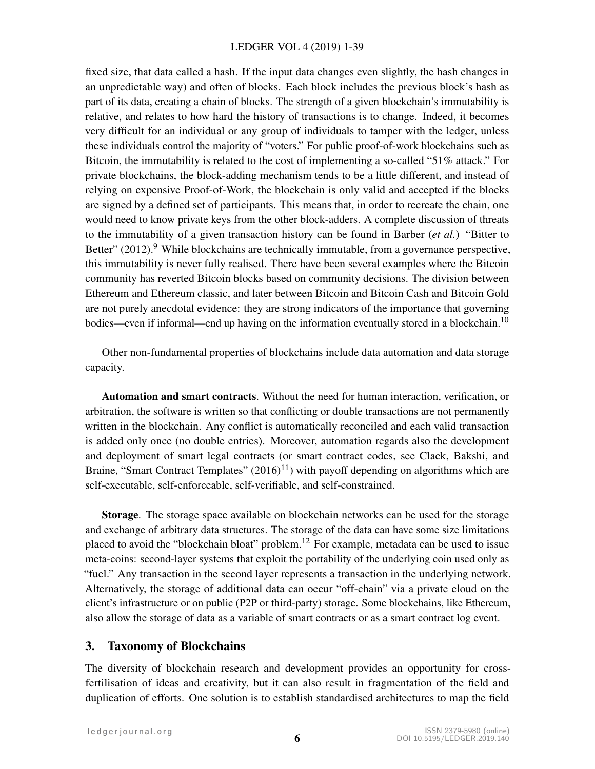fixed size, that data called a hash. If the input data changes even slightly, the hash changes in an unpredictable way) and often of blocks. Each block includes the previous block's hash as part of its data, creating a chain of blocks. The strength of a given blockchain's immutability is relative, and relates to how hard the history of transactions is to change. Indeed, it becomes very difficult for an individual or any group of individuals to tamper with the ledger, unless these individuals control the majority of "voters." For public proof-of-work blockchains such as Bitcoin, the immutability is related to the cost of implementing a so-called "51% attack." For private blockchains, the block-adding mechanism tends to be a little different, and instead of relying on expensive Proof-of-Work, the blockchain is only valid and accepted if the blocks are signed by a defined set of participants. This means that, in order to recreate the chain, one would need to know private keys from the other block-adders. A complete discussion of threats to the immutability of a given transaction history can be found in Barber (*et al.*) "Bitter to Better"  $(2012)$ .<sup>[9](#page-32-0)</sup> While blockchains are technically immutable, from a governance perspective, this immutability is never fully realised. There have been several examples where the Bitcoin community has reverted Bitcoin blocks based on community decisions. The division between Ethereum and Ethereum classic, and later between Bitcoin and Bitcoin Cash and Bitcoin Gold are not purely anecdotal evidence: they are strong indicators of the importance that governing bodies—even if informal—end up having on the information eventually stored in a blockchain.<sup>[10](#page-32-1)</sup>

Other non-fundamental properties of blockchains include data automation and data storage capacity.

Automation and smart contracts. Without the need for human interaction, verification, or arbitration, the software is written so that conflicting or double transactions are not permanently written in the blockchain. Any conflict is automatically reconciled and each valid transaction is added only once (no double entries). Moreover, automation regards also the development and deployment of smart legal contracts (or smart contract codes, see Clack, Bakshi, and Braine, "Smart Contract Templates"  $(2016)^{11}$  $(2016)^{11}$  $(2016)^{11}$ ) with payoff depending on algorithms which are self-executable, self-enforceable, self-verifiable, and self-constrained.

Storage. The storage space available on blockchain networks can be used for the storage and exchange of arbitrary data structures. The storage of the data can have some size limitations placed to avoid the "blockchain bloat" problem.<sup>[12](#page-32-3)</sup> For example, metadata can be used to issue meta-coins: second-layer systems that exploit the portability of the underlying coin used only as "fuel." Any transaction in the second layer represents a transaction in the underlying network. Alternatively, the storage of additional data can occur "off-chain" via a private cloud on the client's infrastructure or on public (P2P or third-party) storage. Some blockchains, like Ethereum, also allow the storage of data as a variable of smart contracts or as a smart contract log event.

## 3. Taxonomy of Blockchains

The diversity of blockchain research and development provides an opportunity for crossfertilisation of ideas and creativity, but it can also result in fragmentation of the field and duplication of efforts. One solution is to establish standardised architectures to map the field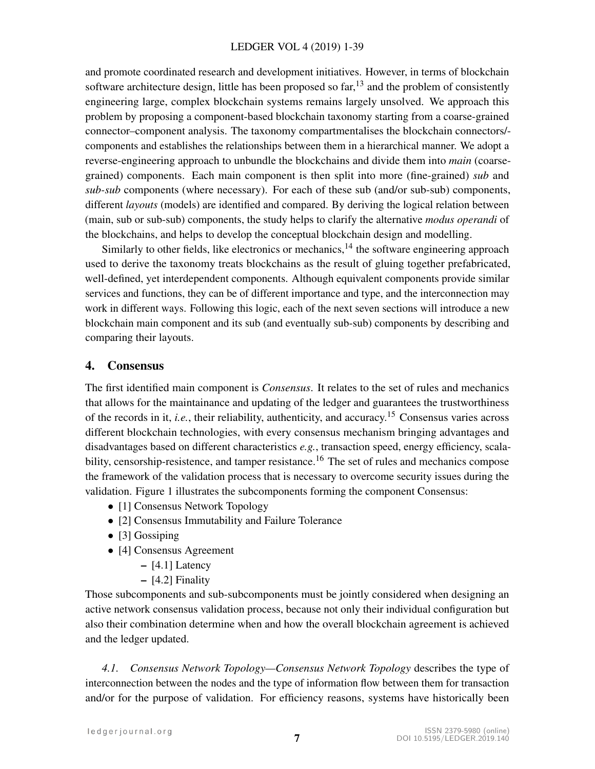and promote coordinated research and development initiatives. However, in terms of blockchain software architecture design, little has been proposed so  $far$ <sup>[13](#page-32-4)</sup> and the problem of consistently engineering large, complex blockchain systems remains largely unsolved. We approach this problem by proposing a component-based blockchain taxonomy starting from a coarse-grained connector–component analysis. The taxonomy compartmentalises the blockchain connectors/ components and establishes the relationships between them in a hierarchical manner. We adopt a reverse-engineering approach to unbundle the blockchains and divide them into *main* (coarsegrained) components. Each main component is then split into more (fine-grained) *sub* and *sub-sub* components (where necessary). For each of these sub (and/or sub-sub) components, different *layouts* (models) are identified and compared. By deriving the logical relation between (main, sub or sub-sub) components, the study helps to clarify the alternative *modus operandi* of the blockchains, and helps to develop the conceptual blockchain design and modelling.

Similarly to other fields, like electronics or mechanics,  $^{14}$  $^{14}$  $^{14}$  the software engineering approach used to derive the taxonomy treats blockchains as the result of gluing together prefabricated, well-defined, yet interdependent components. Although equivalent components provide similar services and functions, they can be of different importance and type, and the interconnection may work in different ways. Following this logic, each of the next seven sections will introduce a new blockchain main component and its sub (and eventually sub-sub) components by describing and comparing their layouts.

# 4. Consensus

The first identified main component is *Consensus*. It relates to the set of rules and mechanics that allows for the maintainance and updating of the ledger and guarantees the trustworthiness of the records in it, *i.e.*, their reliability, authenticity, and accuracy.[15](#page-32-6) Consensus varies across different blockchain technologies, with every consensus mechanism bringing advantages and disadvantages based on different characteristics *e.g.*, transaction speed, energy efficiency, scala-bility, censorship-resistence, and tamper resistance.<sup>[16](#page-32-7)</sup> The set of rules and mechanics compose the framework of the validation process that is necessary to overcome security issues during the validation. Figure [1](#page-7-0) illustrates the subcomponents forming the component Consensus:

- [1] Consensus Network Topology
- [2] Consensus Immutability and Failure Tolerance
- [3] Gossiping
- [4] Consensus Agreement
	- [4.1] Latency
	- [4.2] Finality

Those subcomponents and sub-subcomponents must be jointly considered when designing an active network consensus validation process, because not only their individual configuration but also their combination determine when and how the overall blockchain agreement is achieved and the ledger updated.

*4.1. Consensus Network Topology—Consensus Network Topology* describes the type of interconnection between the nodes and the type of information flow between them for transaction and/or for the purpose of validation. For efficiency reasons, systems have historically been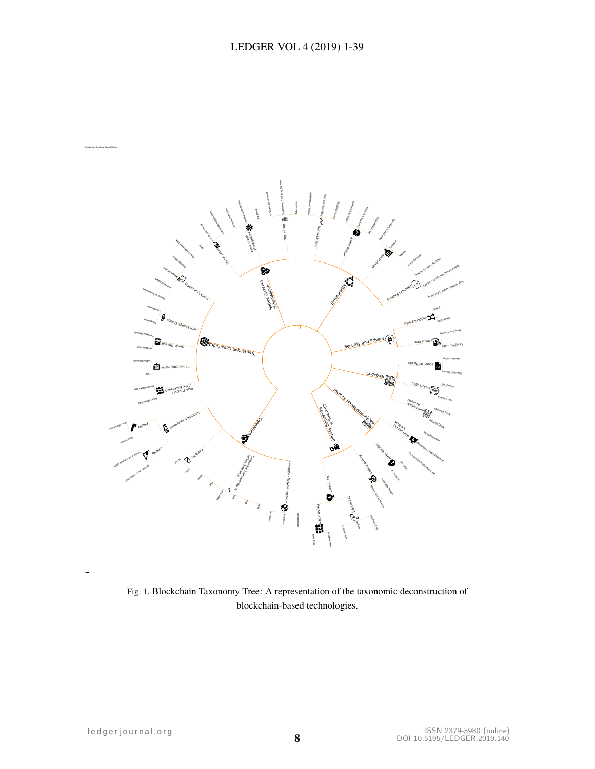

<span id="page-7-0"></span>Fig. 1. Blockchain Taxonomy Tree: A representation of the taxonomic deconstruction of blockchain-based technologies.

0.69841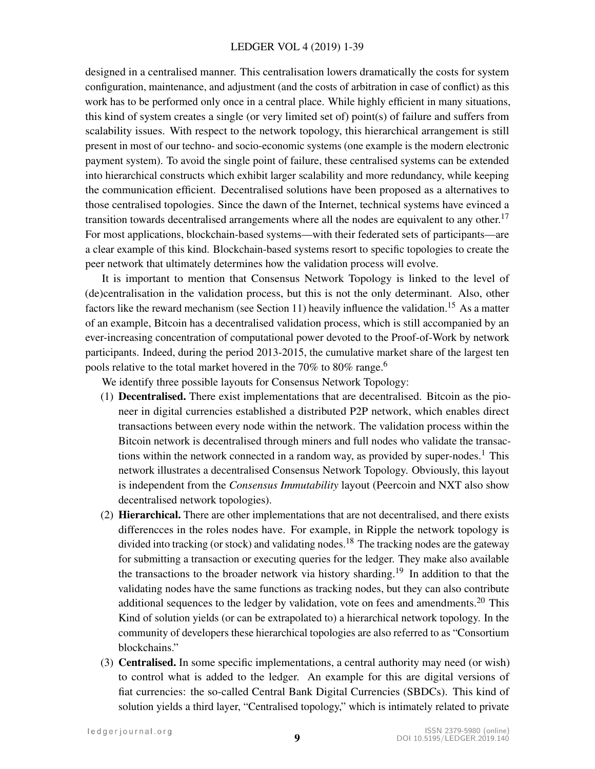designed in a centralised manner. This centralisation lowers dramatically the costs for system configuration, maintenance, and adjustment (and the costs of arbitration in case of conflict) as this work has to be performed only once in a central place. While highly efficient in many situations, this kind of system creates a single (or very limited set of) point(s) of failure and suffers from scalability issues. With respect to the network topology, this hierarchical arrangement is still present in most of our techno- and socio-economic systems (one example is the modern electronic payment system). To avoid the single point of failure, these centralised systems can be extended into hierarchical constructs which exhibit larger scalability and more redundancy, while keeping the communication efficient. Decentralised solutions have been proposed as a alternatives to those centralised topologies. Since the dawn of the Internet, technical systems have evinced a transition towards decentralised arrangements where all the nodes are equivalent to any other.<sup>[17](#page-32-8)</sup> For most applications, blockchain-based systems—with their federated sets of participants—are a clear example of this kind. Blockchain-based systems resort to specific topologies to create the peer network that ultimately determines how the validation process will evolve.

It is important to mention that Consensus Network Topology is linked to the level of (de)centralisation in the validation process, but this is not the only determinant. Also, other factors like the reward mechanism (see Section [11\)](#page-28-0) heavily influence the validation.<sup>[15](#page-32-6)</sup> As a matter of an example, Bitcoin has a decentralised validation process, which is still accompanied by an ever-increasing concentration of computational power devoted to the Proof-of-Work by network participants. Indeed, during the period 2013-2015, the cumulative market share of the largest ten pools relative to the total market hovered in the 70% to 80% range.<sup>[6](#page-31-5)</sup>

We identify three possible layouts for Consensus Network Topology:

- (1) Decentralised. There exist implementations that are decentralised. Bitcoin as the pioneer in digital currencies established a distributed P2P network, which enables direct transactions between every node within the network. The validation process within the Bitcoin network is decentralised through miners and full nodes who validate the transac-tions within the network connected in a random way, as provided by super-nodes.<sup>[1](#page-31-0)</sup> This network illustrates a decentralised Consensus Network Topology. Obviously, this layout is independent from the *Consensus Immutability* layout (Peercoin and NXT also show decentralised network topologies).
- (2) Hierarchical. There are other implementations that are not decentralised, and there exists differencces in the roles nodes have. For example, in Ripple the network topology is divided into tracking (or stock) and validating nodes.<sup>[18](#page-32-9)</sup> The tracking nodes are the gateway for submitting a transaction or executing queries for the ledger. They make also available the transactions to the broader network via history sharding.<sup>[19](#page-32-10)</sup> In addition to that the validating nodes have the same functions as tracking nodes, but they can also contribute additional sequences to the ledger by validation, vote on fees and amendments.<sup>[20](#page-32-11)</sup> This Kind of solution yields (or can be extrapolated to) a hierarchical network topology. In the community of developers these hierarchical topologies are also referred to as "Consortium blockchains."
- (3) Centralised. In some specific implementations, a central authority may need (or wish) to control what is added to the ledger. An example for this are digital versions of fiat currencies: the so-called Central Bank Digital Currencies (SBDCs). This kind of solution yields a third layer, "Centralised topology," which is intimately related to private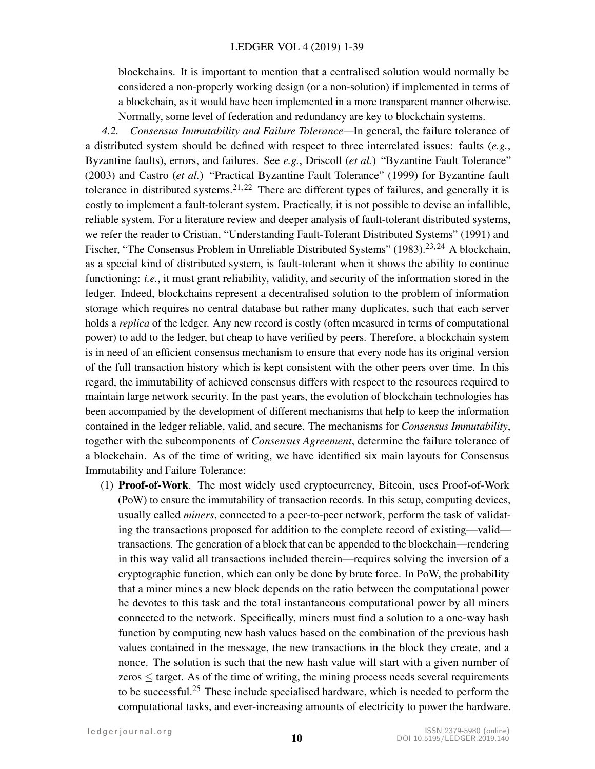#### LEDGER VOL 4 (2019) 1-39

blockchains. It is important to mention that a centralised solution would normally be considered a non-properly working design (or a non-solution) if implemented in terms of a blockchain, as it would have been implemented in a more transparent manner otherwise. Normally, some level of federation and redundancy are key to blockchain systems.

*4.2. Consensus Immutability and Failure Tolerance—*In general, the failure tolerance of a distributed system should be defined with respect to three interrelated issues: faults (*e.g.*, Byzantine faults), errors, and failures. See *e.g.*, Driscoll (*et al.*) "Byzantine Fault Tolerance" (2003) and Castro (*et al.*) "Practical Byzantine Fault Tolerance" (1999) for Byzantine fault tolerance in distributed systems.<sup>[21,](#page-32-12) [22](#page-32-13)</sup> There are different types of failures, and generally it is costly to implement a fault-tolerant system. Practically, it is not possible to devise an infallible, reliable system. For a literature review and deeper analysis of fault-tolerant distributed systems, we refer the reader to Cristian, "Understanding Fault-Tolerant Distributed Systems" (1991) and Fischer, "The Consensus Problem in Unreliable Distributed Systems" (1983).<sup>[23,](#page-32-14)24</sup> A blockchain, as a special kind of distributed system, is fault-tolerant when it shows the ability to continue functioning: *i.e.*, it must grant reliability, validity, and security of the information stored in the ledger. Indeed, blockchains represent a decentralised solution to the problem of information storage which requires no central database but rather many duplicates, such that each server holds a *replica* of the ledger. Any new record is costly (often measured in terms of computational power) to add to the ledger, but cheap to have verified by peers. Therefore, a blockchain system is in need of an efficient consensus mechanism to ensure that every node has its original version of the full transaction history which is kept consistent with the other peers over time. In this regard, the immutability of achieved consensus differs with respect to the resources required to maintain large network security. In the past years, the evolution of blockchain technologies has been accompanied by the development of different mechanisms that help to keep the information contained in the ledger reliable, valid, and secure. The mechanisms for *Consensus Immutability*, together with the subcomponents of *Consensus Agreement*, determine the failure tolerance of a blockchain. As of the time of writing, we have identified six main layouts for Consensus Immutability and Failure Tolerance:

(1) Proof-of-Work. The most widely used cryptocurrency, Bitcoin, uses Proof-of-Work (PoW) to ensure the immutability of transaction records. In this setup, computing devices, usually called *miners*, connected to a peer-to-peer network, perform the task of validating the transactions proposed for addition to the complete record of existing—valid transactions. The generation of a block that can be appended to the blockchain—rendering in this way valid all transactions included therein—requires solving the inversion of a cryptographic function, which can only be done by brute force. In PoW, the probability that a miner mines a new block depends on the ratio between the computational power he devotes to this task and the total instantaneous computational power by all miners connected to the network. Specifically, miners must find a solution to a one-way hash function by computing new hash values based on the combination of the previous hash values contained in the message, the new transactions in the block they create, and a nonce. The solution is such that the new hash value will start with a given number of zeros ≤ target. As of the time of writing, the mining process needs several requirements to be successful.<sup>[25](#page-32-16)</sup> These include specialised hardware, which is needed to perform the computational tasks, and ever-increasing amounts of electricity to power the hardware.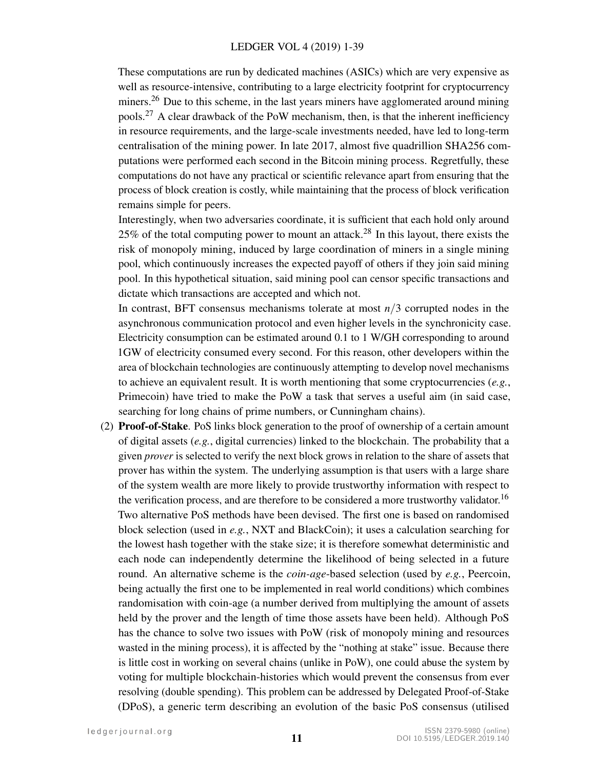These computations are run by dedicated machines (ASICs) which are very expensive as well as resource-intensive, contributing to a large electricity footprint for cryptocurrency miners.<sup>[26](#page-32-17)</sup> Due to this scheme, in the last years miners have agglomerated around mining pools.[27](#page-32-18) A clear drawback of the PoW mechanism, then, is that the inherent inefficiency in resource requirements, and the large-scale investments needed, have led to long-term centralisation of the mining power. In late 2017, almost five quadrillion SHA256 computations were performed each second in the Bitcoin mining process. Regretfully, these computations do not have any practical or scientific relevance apart from ensuring that the process of block creation is costly, while maintaining that the process of block verification remains simple for peers.

Interestingly, when two adversaries coordinate, it is sufficient that each hold only around 25% of the total computing power to mount an attack.<sup>[28](#page-33-0)</sup> In this layout, there exists the risk of monopoly mining, induced by large coordination of miners in a single mining pool, which continuously increases the expected payoff of others if they join said mining pool. In this hypothetical situation, said mining pool can censor specific transactions and dictate which transactions are accepted and which not.

In contrast, BFT consensus mechanisms tolerate at most *n*/3 corrupted nodes in the asynchronous communication protocol and even higher levels in the synchronicity case. Electricity consumption can be estimated around 0.1 to 1 W/GH corresponding to around 1GW of electricity consumed every second. For this reason, other developers within the area of blockchain technologies are continuously attempting to develop novel mechanisms to achieve an equivalent result. It is worth mentioning that some cryptocurrencies (*e.g.*, Primecoin) have tried to make the PoW a task that serves a useful aim (in said case, searching for long chains of prime numbers, or Cunningham chains).

(2) Proof-of-Stake. PoS links block generation to the proof of ownership of a certain amount of digital assets (*e.g.*, digital currencies) linked to the blockchain. The probability that a given *prover* is selected to verify the next block grows in relation to the share of assets that prover has within the system. The underlying assumption is that users with a large share of the system wealth are more likely to provide trustworthy information with respect to the verification process, and are therefore to be considered a more trustworthy validator.<sup>[16](#page-32-7)</sup> Two alternative PoS methods have been devised. The first one is based on randomised block selection (used in *e.g.*, NXT and BlackCoin); it uses a calculation searching for the lowest hash together with the stake size; it is therefore somewhat deterministic and each node can independently determine the likelihood of being selected in a future round. An alternative scheme is the *coin-age*-based selection (used by *e.g.*, Peercoin, being actually the first one to be implemented in real world conditions) which combines randomisation with coin-age (a number derived from multiplying the amount of assets held by the prover and the length of time those assets have been held). Although PoS has the chance to solve two issues with PoW (risk of monopoly mining and resources wasted in the mining process), it is affected by the "nothing at stake" issue. Because there is little cost in working on several chains (unlike in PoW), one could abuse the system by voting for multiple blockchain-histories which would prevent the consensus from ever resolving (double spending). This problem can be addressed by Delegated Proof-of-Stake (DPoS), a generic term describing an evolution of the basic PoS consensus (utilised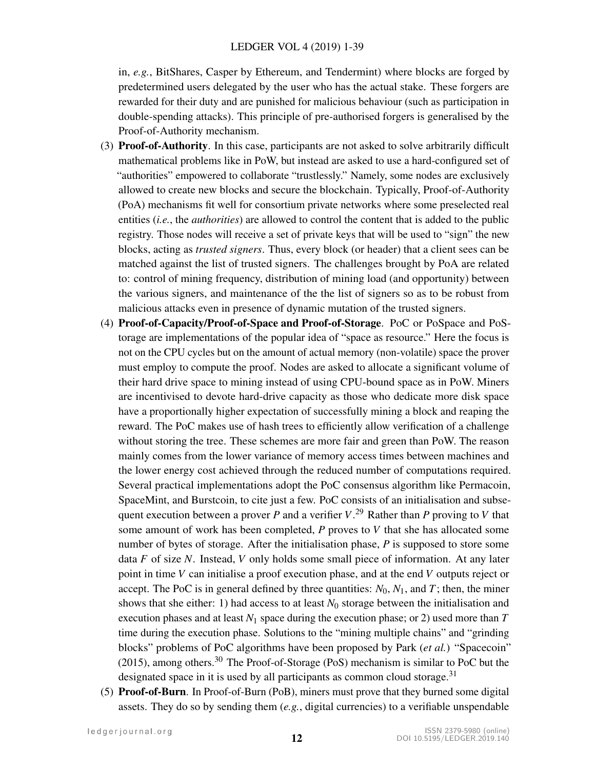in, *e.g.*, BitShares, Casper by Ethereum, and Tendermint) where blocks are forged by predetermined users delegated by the user who has the actual stake. These forgers are rewarded for their duty and are punished for malicious behaviour (such as participation in double-spending attacks). This principle of pre-authorised forgers is generalised by the Proof-of-Authority mechanism.

- (3) Proof-of-Authority. In this case, participants are not asked to solve arbitrarily difficult mathematical problems like in PoW, but instead are asked to use a hard-configured set of "authorities" empowered to collaborate "trustlessly." Namely, some nodes are exclusively allowed to create new blocks and secure the blockchain. Typically, Proof-of-Authority (PoA) mechanisms fit well for consortium private networks where some preselected real entities (*i.e.*, the *authorities*) are allowed to control the content that is added to the public registry. Those nodes will receive a set of private keys that will be used to "sign" the new blocks, acting as *trusted signers*. Thus, every block (or header) that a client sees can be matched against the list of trusted signers. The challenges brought by PoA are related to: control of mining frequency, distribution of mining load (and opportunity) between the various signers, and maintenance of the the list of signers so as to be robust from malicious attacks even in presence of dynamic mutation of the trusted signers.
- (4) Proof-of-Capacity/Proof-of-Space and Proof-of-Storage. PoC or PoSpace and PoStorage are implementations of the popular idea of "space as resource." Here the focus is not on the CPU cycles but on the amount of actual memory (non-volatile) space the prover must employ to compute the proof. Nodes are asked to allocate a significant volume of their hard drive space to mining instead of using CPU-bound space as in PoW. Miners are incentivised to devote hard-drive capacity as those who dedicate more disk space have a proportionally higher expectation of successfully mining a block and reaping the reward. The PoC makes use of hash trees to efficiently allow verification of a challenge without storing the tree. These schemes are more fair and green than PoW. The reason mainly comes from the lower variance of memory access times between machines and the lower energy cost achieved through the reduced number of computations required. Several practical implementations adopt the PoC consensus algorithm like Permacoin, SpaceMint, and Burstcoin, to cite just a few. PoC consists of an initialisation and subsequent execution between a prover *P* and a verifier *V*. [29](#page-33-1) Rather than *P* proving to *V* that some amount of work has been completed, *P* proves to *V* that she has allocated some number of bytes of storage. After the initialisation phase, *P* is supposed to store some data *F* of size *N*. Instead, *V* only holds some small piece of information. At any later point in time *V* can initialise a proof execution phase, and at the end *V* outputs reject or accept. The PoC is in general defined by three quantities:  $N_0$ ,  $N_1$ , and *T*; then, the miner shows that she either: 1) had access to at least  $N_0$  storage between the initialisation and execution phases and at least *N*<sup>1</sup> space during the execution phase; or 2) used more than *T* time during the execution phase. Solutions to the "mining multiple chains" and "grinding blocks" problems of PoC algorithms have been proposed by Park (*et al.*) "Spacecoin" (2015), among others.[30](#page-33-2) The Proof-of-Storage (PoS) mechanism is similar to PoC but the designated space in it is used by all participants as common cloud storage.<sup>[31](#page-33-3)</sup>
- (5) Proof-of-Burn. In Proof-of-Burn (PoB), miners must prove that they burned some digital assets. They do so by sending them (*e.g.*, digital currencies) to a verifiable unspendable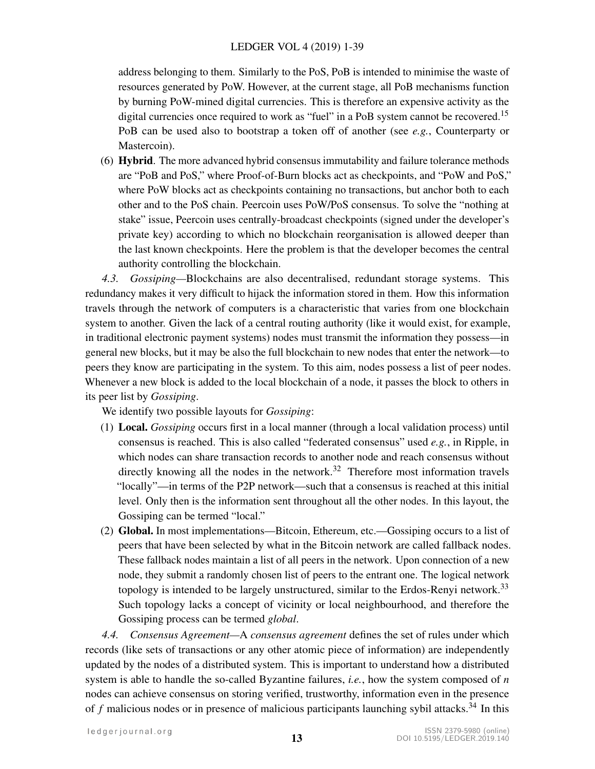#### LEDGER VOL 4 (2019) 1-39

address belonging to them. Similarly to the PoS, PoB is intended to minimise the waste of resources generated by PoW. However, at the current stage, all PoB mechanisms function by burning PoW-mined digital currencies. This is therefore an expensive activity as the digital currencies once required to work as "fuel" in a PoB system cannot be recovered.<sup>[15](#page-32-6)</sup> PoB can be used also to bootstrap a token off of another (see *e.g.*, Counterparty or Mastercoin).

(6) Hybrid. The more advanced hybrid consensus immutability and failure tolerance methods are "PoB and PoS," where Proof-of-Burn blocks act as checkpoints, and "PoW and PoS," where PoW blocks act as checkpoints containing no transactions, but anchor both to each other and to the PoS chain. Peercoin uses PoW/PoS consensus. To solve the "nothing at stake" issue, Peercoin uses centrally-broadcast checkpoints (signed under the developer's private key) according to which no blockchain reorganisation is allowed deeper than the last known checkpoints. Here the problem is that the developer becomes the central authority controlling the blockchain.

*4.3. Gossiping—*Blockchains are also decentralised, redundant storage systems. This redundancy makes it very difficult to hijack the information stored in them. How this information travels through the network of computers is a characteristic that varies from one blockchain system to another. Given the lack of a central routing authority (like it would exist, for example, in traditional electronic payment systems) nodes must transmit the information they possess—in general new blocks, but it may be also the full blockchain to new nodes that enter the network—to peers they know are participating in the system. To this aim, nodes possess a list of peer nodes. Whenever a new block is added to the local blockchain of a node, it passes the block to others in its peer list by *Gossiping*.

We identify two possible layouts for *Gossiping*:

- (1) Local. *Gossiping* occurs first in a local manner (through a local validation process) until consensus is reached. This is also called "federated consensus" used *e.g.*, in Ripple, in which nodes can share transaction records to another node and reach consensus without directly knowing all the nodes in the network.<sup>[32](#page-33-4)</sup> Therefore most information travels "locally"—in terms of the P2P network—such that a consensus is reached at this initial level. Only then is the information sent throughout all the other nodes. In this layout, the Gossiping can be termed "local."
- (2) Global. In most implementations—Bitcoin, Ethereum, etc.—Gossiping occurs to a list of peers that have been selected by what in the Bitcoin network are called fallback nodes. These fallback nodes maintain a list of all peers in the network. Upon connection of a new node, they submit a randomly chosen list of peers to the entrant one. The logical network topology is intended to be largely unstructured, similar to the Erdos-Renyi network.<sup>[33](#page-33-5)</sup> Such topology lacks a concept of vicinity or local neighbourhood, and therefore the Gossiping process can be termed *global*.

*4.4. Consensus Agreement—*A *consensus agreement* defines the set of rules under which records (like sets of transactions or any other atomic piece of information) are independently updated by the nodes of a distributed system. This is important to understand how a distributed system is able to handle the so-called Byzantine failures, *i.e.*, how the system composed of *n* nodes can achieve consensus on storing verified, trustworthy, information even in the presence of  $f$  malicious nodes or in presence of malicious participants launching sybil attacks.<sup>[34](#page-33-6)</sup> In this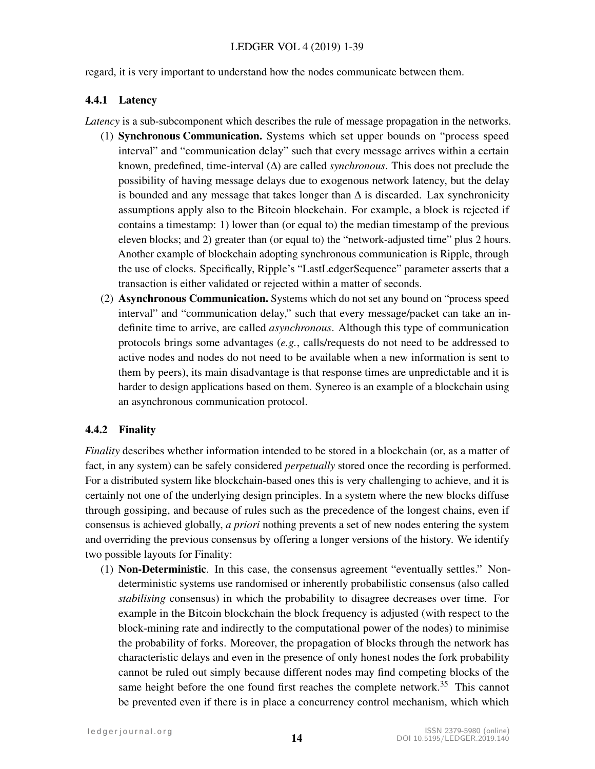regard, it is very important to understand how the nodes communicate between them.

# 4.4.1 Latency

*Latency* is a sub-subcomponent which describes the rule of message propagation in the networks.

- (1) Synchronous Communication. Systems which set upper bounds on "process speed interval" and "communication delay" such that every message arrives within a certain known, predefined, time-interval (∆) are called *synchronous*. This does not preclude the possibility of having message delays due to exogenous network latency, but the delay is bounded and any message that takes longer than ∆ is discarded. Lax synchronicity assumptions apply also to the Bitcoin blockchain. For example, a block is rejected if contains a timestamp: 1) lower than (or equal to) the median timestamp of the previous eleven blocks; and 2) greater than (or equal to) the "network-adjusted time" plus 2 hours. Another example of blockchain adopting synchronous communication is Ripple, through the use of clocks. Specifically, Ripple's "LastLedgerSequence" parameter asserts that a transaction is either validated or rejected within a matter of seconds.
- (2) Asynchronous Communication. Systems which do not set any bound on "process speed interval" and "communication delay," such that every message/packet can take an indefinite time to arrive, are called *asynchronous*. Although this type of communication protocols brings some advantages (*e.g.*, calls/requests do not need to be addressed to active nodes and nodes do not need to be available when a new information is sent to them by peers), its main disadvantage is that response times are unpredictable and it is harder to design applications based on them. Synereo is an example of a blockchain using an asynchronous communication protocol.

# 4.4.2 Finality

*Finality* describes whether information intended to be stored in a blockchain (or, as a matter of fact, in any system) can be safely considered *perpetually* stored once the recording is performed. For a distributed system like blockchain-based ones this is very challenging to achieve, and it is certainly not one of the underlying design principles. In a system where the new blocks diffuse through gossiping, and because of rules such as the precedence of the longest chains, even if consensus is achieved globally, *a priori* nothing prevents a set of new nodes entering the system and overriding the previous consensus by offering a longer versions of the history. We identify two possible layouts for Finality:

(1) Non-Deterministic. In this case, the consensus agreement "eventually settles." Nondeterministic systems use randomised or inherently probabilistic consensus (also called *stabilising* consensus) in which the probability to disagree decreases over time. For example in the Bitcoin blockchain the block frequency is adjusted (with respect to the block-mining rate and indirectly to the computational power of the nodes) to minimise the probability of forks. Moreover, the propagation of blocks through the network has characteristic delays and even in the presence of only honest nodes the fork probability cannot be ruled out simply because different nodes may find competing blocks of the same height before the one found first reaches the complete network.<sup>[35](#page-33-7)</sup> This cannot be prevented even if there is in place a concurrency control mechanism, which which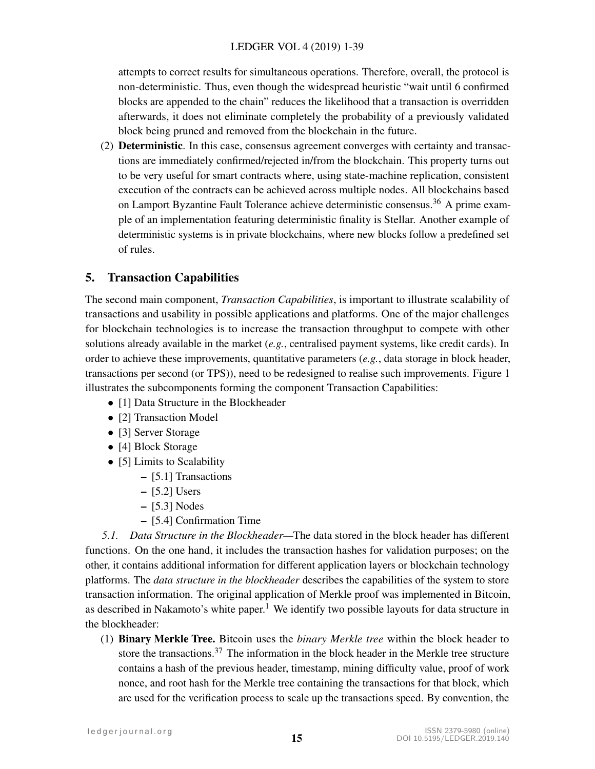attempts to correct results for simultaneous operations. Therefore, overall, the protocol is non-deterministic. Thus, even though the widespread heuristic "wait until 6 confirmed blocks are appended to the chain" reduces the likelihood that a transaction is overridden afterwards, it does not eliminate completely the probability of a previously validated block being pruned and removed from the blockchain in the future.

(2) Deterministic. In this case, consensus agreement converges with certainty and transactions are immediately confirmed/rejected in/from the blockchain. This property turns out to be very useful for smart contracts where, using state-machine replication, consistent execution of the contracts can be achieved across multiple nodes. All blockchains based on Lamport Byzantine Fault Tolerance achieve deterministic consensus.<sup>[36](#page-33-8)</sup> A prime example of an implementation featuring deterministic finality is Stellar. Another example of deterministic systems is in private blockchains, where new blocks follow a predefined set of rules.

# 5. Transaction Capabilities

The second main component, *Transaction Capabilities*, is important to illustrate scalability of transactions and usability in possible applications and platforms. One of the major challenges for blockchain technologies is to increase the transaction throughput to compete with other solutions already available in the market (*e.g.*, centralised payment systems, like credit cards). In order to achieve these improvements, quantitative parameters (*e.g.*, data storage in block header, transactions per second (or TPS)), need to be redesigned to realise such improvements. Figure [1](#page-7-0) illustrates the subcomponents forming the component Transaction Capabilities:

- [1] Data Structure in the Blockheader
- [2] Transaction Model
- [3] Server Storage
- [4] Block Storage
- [5] Limits to Scalability
	- [5.1] Transactions
	- [5.2] Users
	- [5.3] Nodes
	- [5.4] Confirmation Time

*5.1. Data Structure in the Blockheader—*The data stored in the block header has different functions. On the one hand, it includes the transaction hashes for validation purposes; on the other, it contains additional information for different application layers or blockchain technology platforms. The *data structure in the blockheader* describes the capabilities of the system to store transaction information. The original application of Merkle proof was implemented in Bitcoin, as described in Nakamoto's white paper.<sup>[1](#page-31-0)</sup> We identify two possible layouts for data structure in the blockheader:

(1) Binary Merkle Tree. Bitcoin uses the *binary Merkle tree* within the block header to store the transactions.<sup>[37](#page-33-9)</sup> The information in the block header in the Merkle tree structure contains a hash of the previous header, timestamp, mining difficulty value, proof of work nonce, and root hash for the Merkle tree containing the transactions for that block, which are used for the verification process to scale up the transactions speed. By convention, the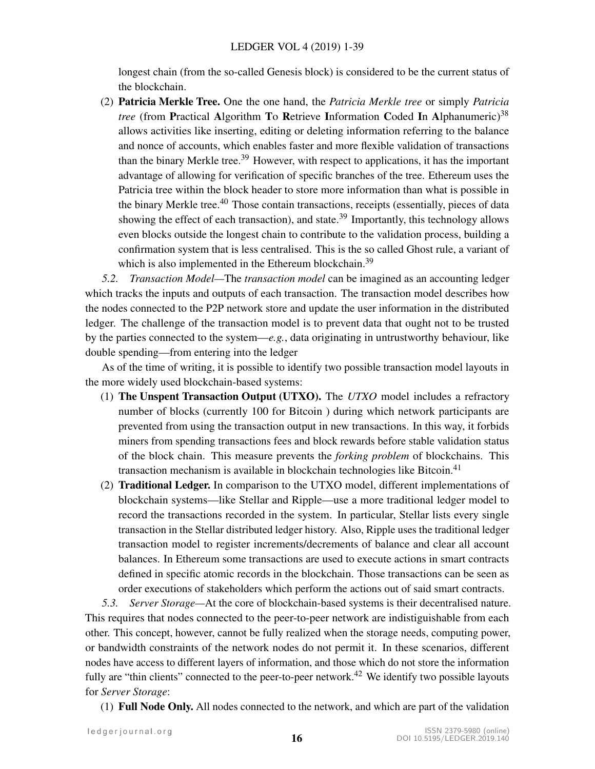longest chain (from the so-called Genesis block) is considered to be the current status of the blockchain.

(2) Patricia Merkle Tree. One the one hand, the *Patricia Merkle tree* or simply *Patricia tree* (from Practical Algorithm To Retrieve Information Coded In Alphanumeric)<sup>[38](#page-33-10)</sup> allows activities like inserting, editing or deleting information referring to the balance and nonce of accounts, which enables faster and more flexible validation of transactions than the binary Merkle tree.<sup>[39](#page-33-11)</sup> However, with respect to applications, it has the important advantage of allowing for verification of specific branches of the tree. Ethereum uses the Patricia tree within the block header to store more information than what is possible in the binary Merkle tree.<sup>[40](#page-33-12)</sup> Those contain transactions, receipts (essentially, pieces of data showing the effect of each transaction), and state.<sup>[39](#page-33-11)</sup> Importantly, this technology allows even blocks outside the longest chain to contribute to the validation process, building a confirmation system that is less centralised. This is the so called Ghost rule, a variant of which is also implemented in the Ethereum blockchain.<sup>[39](#page-33-11)</sup>

*5.2. Transaction Model—*The *transaction model* can be imagined as an accounting ledger which tracks the inputs and outputs of each transaction. The transaction model describes how the nodes connected to the P2P network store and update the user information in the distributed ledger. The challenge of the transaction model is to prevent data that ought not to be trusted by the parties connected to the system—*e.g.*, data originating in untrustworthy behaviour, like double spending—from entering into the ledger

As of the time of writing, it is possible to identify two possible transaction model layouts in the more widely used blockchain-based systems:

- (1) The Unspent Transaction Output (UTXO). The *UTXO* model includes a refractory number of blocks (currently 100 for Bitcoin ) during which network participants are prevented from using the transaction output in new transactions. In this way, it forbids miners from spending transactions fees and block rewards before stable validation status of the block chain. This measure prevents the *forking problem* of blockchains. This transaction mechanism is available in blockchain technologies like Bitcoin.<sup>[41](#page-33-13)</sup>
- (2) Traditional Ledger. In comparison to the UTXO model, different implementations of blockchain systems—like Stellar and Ripple—use a more traditional ledger model to record the transactions recorded in the system. In particular, Stellar lists every single transaction in the Stellar distributed ledger history. Also, Ripple uses the traditional ledger transaction model to register increments/decrements of balance and clear all account balances. In Ethereum some transactions are used to execute actions in smart contracts defined in specific atomic records in the blockchain. Those transactions can be seen as order executions of stakeholders which perform the actions out of said smart contracts.

*5.3. Server Storage—*At the core of blockchain-based systems is their decentralised nature. This requires that nodes connected to the peer-to-peer network are indistiguishable from each other. This concept, however, cannot be fully realized when the storage needs, computing power, or bandwidth constraints of the network nodes do not permit it. In these scenarios, different nodes have access to different layers of information, and those which do not store the information fully are "thin clients" connected to the peer-to-peer network.<sup>[42](#page-33-14)</sup> We identify two possible layouts for *Server Storage*:

(1) Full Node Only. All nodes connected to the network, and which are part of the validation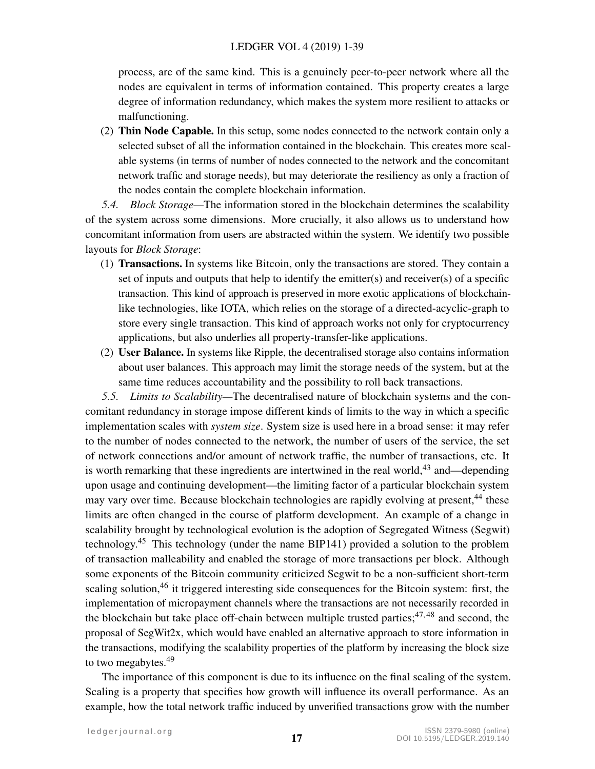#### LEDGER VOL 4 (2019) 1-39

process, are of the same kind. This is a genuinely peer-to-peer network where all the nodes are equivalent in terms of information contained. This property creates a large degree of information redundancy, which makes the system more resilient to attacks or malfunctioning.

(2) Thin Node Capable. In this setup, some nodes connected to the network contain only a selected subset of all the information contained in the blockchain. This creates more scalable systems (in terms of number of nodes connected to the network and the concomitant network traffic and storage needs), but may deteriorate the resiliency as only a fraction of the nodes contain the complete blockchain information.

*5.4. Block Storage—*The information stored in the blockchain determines the scalability of the system across some dimensions. More crucially, it also allows us to understand how concomitant information from users are abstracted within the system. We identify two possible layouts for *Block Storage*:

- (1) Transactions. In systems like Bitcoin, only the transactions are stored. They contain a set of inputs and outputs that help to identify the emitter(s) and receiver(s) of a specific transaction. This kind of approach is preserved in more exotic applications of blockchainlike technologies, like IOTA, which relies on the storage of a directed-acyclic-graph to store every single transaction. This kind of approach works not only for cryptocurrency applications, but also underlies all property-transfer-like applications.
- (2) User Balance. In systems like Ripple, the decentralised storage also contains information about user balances. This approach may limit the storage needs of the system, but at the same time reduces accountability and the possibility to roll back transactions.

*5.5. Limits to Scalability—*The decentralised nature of blockchain systems and the concomitant redundancy in storage impose different kinds of limits to the way in which a specific implementation scales with *system size*. System size is used here in a broad sense: it may refer to the number of nodes connected to the network, the number of users of the service, the set of network connections and/or amount of network traffic, the number of transactions, etc. It is worth remarking that these ingredients are intertwined in the real world,  $43$  and—depending upon usage and continuing development—the limiting factor of a particular blockchain system may vary over time. Because blockchain technologies are rapidly evolving at present,<sup>[44](#page-33-16)</sup> these limits are often changed in the course of platform development. An example of a change in scalability brought by technological evolution is the adoption of Segregated Witness (Segwit) technology.<sup>[45](#page-33-17)</sup> This technology (under the name BIP141) provided a solution to the problem of transaction malleability and enabled the storage of more transactions per block. Although some exponents of the Bitcoin community criticized Segwit to be a non-sufficient short-term scaling solution,  $46$  it triggered interesting side consequences for the Bitcoin system: first, the implementation of micropayment channels where the transactions are not necessarily recorded in the blockchain but take place off-chain between multiple trusted parties;  $47,48$  $47,48$  and second, the proposal of SegWit2x, which would have enabled an alternative approach to store information in the transactions, modifying the scalability properties of the platform by increasing the block size to two megabytes. $49$ 

The importance of this component is due to its influence on the final scaling of the system. Scaling is a property that specifies how growth will influence its overall performance. As an example, how the total network traffic induced by unverified transactions grow with the number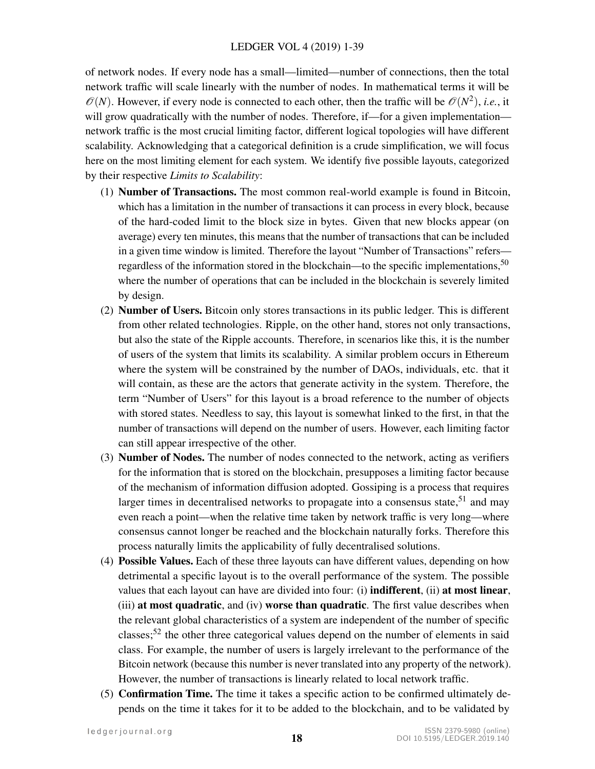of network nodes. If every node has a small—limited—number of connections, then the total network traffic will scale linearly with the number of nodes. In mathematical terms it will be  $\mathcal{O}(N)$ . However, if every node is connected to each other, then the traffic will be  $\mathcal{O}(N^2)$ , *i.e.*, it will grow quadratically with the number of nodes. Therefore, if—for a given implementation network traffic is the most crucial limiting factor, different logical topologies will have different scalability. Acknowledging that a categorical definition is a crude simplification, we will focus here on the most limiting element for each system. We identify five possible layouts, categorized by their respective *Limits to Scalability*:

- (1) Number of Transactions. The most common real-world example is found in Bitcoin, which has a limitation in the number of transactions it can process in every block, because of the hard-coded limit to the block size in bytes. Given that new blocks appear (on average) every ten minutes, this means that the number of transactions that can be included in a given time window is limited. Therefore the layout "Number of Transactions" refers regardless of the information stored in the blockchain—to the specific implementations,  $50$ where the number of operations that can be included in the blockchain is severely limited by design.
- (2) Number of Users. Bitcoin only stores transactions in its public ledger. This is different from other related technologies. Ripple, on the other hand, stores not only transactions, but also the state of the Ripple accounts. Therefore, in scenarios like this, it is the number of users of the system that limits its scalability. A similar problem occurs in Ethereum where the system will be constrained by the number of DAOs, individuals, etc. that it will contain, as these are the actors that generate activity in the system. Therefore, the term "Number of Users" for this layout is a broad reference to the number of objects with stored states. Needless to say, this layout is somewhat linked to the first, in that the number of transactions will depend on the number of users. However, each limiting factor can still appear irrespective of the other.
- (3) Number of Nodes. The number of nodes connected to the network, acting as verifiers for the information that is stored on the blockchain, presupposes a limiting factor because of the mechanism of information diffusion adopted. Gossiping is a process that requires larger times in decentralised networks to propagate into a consensus state,  $51$  and may even reach a point—when the relative time taken by network traffic is very long—where consensus cannot longer be reached and the blockchain naturally forks. Therefore this process naturally limits the applicability of fully decentralised solutions.
- (4) Possible Values. Each of these three layouts can have different values, depending on how detrimental a specific layout is to the overall performance of the system. The possible values that each layout can have are divided into four: (i) indifferent, (ii) at most linear, (iii) at most quadratic, and (iv) worse than quadratic. The first value describes when the relevant global characteristics of a system are independent of the number of specific classes;<sup>[52](#page-34-5)</sup> the other three categorical values depend on the number of elements in said class. For example, the number of users is largely irrelevant to the performance of the Bitcoin network (because this number is never translated into any property of the network). However, the number of transactions is linearly related to local network traffic.
- (5) Confirmation Time. The time it takes a specific action to be confirmed ultimately depends on the time it takes for it to be added to the blockchain, and to be validated by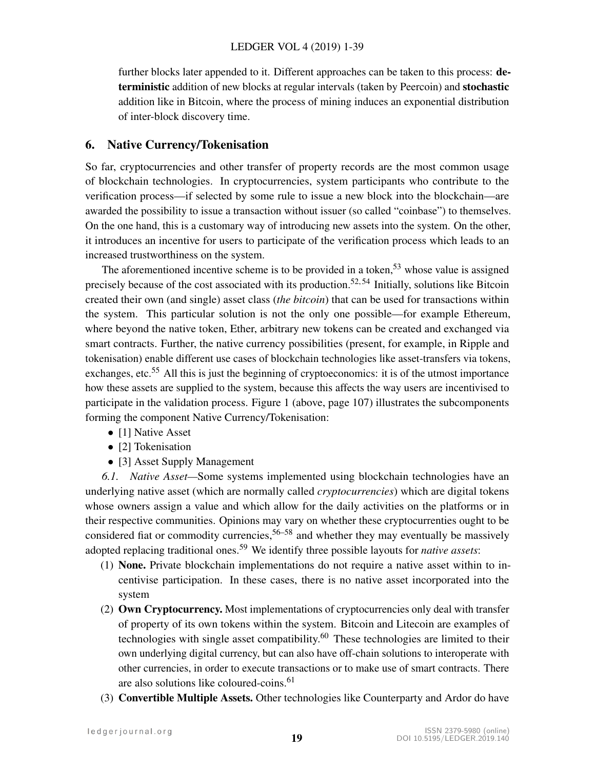further blocks later appended to it. Different approaches can be taken to this process: deterministic addition of new blocks at regular intervals (taken by Peercoin) and stochastic addition like in Bitcoin, where the process of mining induces an exponential distribution of inter-block discovery time.

# 6. Native Currency/Tokenisation

So far, cryptocurrencies and other transfer of property records are the most common usage of blockchain technologies. In cryptocurrencies, system participants who contribute to the verification process—if selected by some rule to issue a new block into the blockchain—are awarded the possibility to issue a transaction without issuer (so called "coinbase") to themselves. On the one hand, this is a customary way of introducing new assets into the system. On the other, it introduces an incentive for users to participate of the verification process which leads to an increased trustworthiness on the system.

The aforementioned incentive scheme is to be provided in a token,<sup>[53](#page-34-6)</sup> whose value is assigned precisely because of the cost associated with its production.<sup>[52,](#page-34-5)54</sup> Initially, solutions like Bitcoin created their own (and single) asset class (*the bitcoin*) that can be used for transactions within the system. This particular solution is not the only one possible—for example Ethereum, where beyond the native token, Ether, arbitrary new tokens can be created and exchanged via smart contracts. Further, the native currency possibilities (present, for example, in Ripple and tokenisation) enable different use cases of blockchain technologies like asset-transfers via tokens, exchanges, etc.<sup>[55](#page-34-8)</sup> All this is just the beginning of cryptoeconomics: it is of the utmost importance how these assets are supplied to the system, because this affects the way users are incentivised to participate in the validation process. Figure [1](#page-7-0) (above, page 107) illustrates the subcomponents forming the component Native Currency/Tokenisation:

- [1] Native Asset
- [2] Tokenisation
- [3] Asset Supply Management

*6.1. Native Asset—*Some systems implemented using blockchain technologies have an underlying native asset (which are normally called *cryptocurrencies*) which are digital tokens whose owners assign a value and which allow for the daily activities on the platforms or in their respective communities. Opinions may vary on whether these cryptocurrenties ought to be considered fiat or commodity currencies,  $56-58$  $56-58$  and whether they may eventually be massively adopted replacing traditional ones.<sup>[59](#page-34-11)</sup> We identify three possible layouts for *native assets*:

- (1) None. Private blockchain implementations do not require a native asset within to incentivise participation. In these cases, there is no native asset incorporated into the system
- (2) Own Cryptocurrency. Most implementations of cryptocurrencies only deal with transfer of property of its own tokens within the system. Bitcoin and Litecoin are examples of technologies with single asset compatibility. $60$  These technologies are limited to their own underlying digital currency, but can also have off-chain solutions to interoperate with other currencies, in order to execute transactions or to make use of smart contracts. There are also solutions like coloured-coins.<sup>[61](#page-34-13)</sup>
- (3) Convertible Multiple Assets. Other technologies like Counterparty and Ardor do have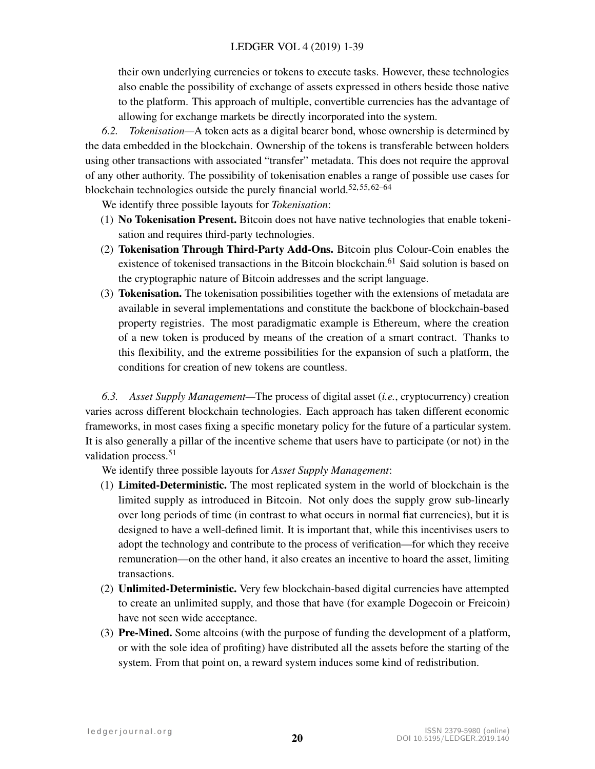their own underlying currencies or tokens to execute tasks. However, these technologies also enable the possibility of exchange of assets expressed in others beside those native to the platform. This approach of multiple, convertible currencies has the advantage of allowing for exchange markets be directly incorporated into the system.

*6.2. Tokenisation—*A token acts as a digital bearer bond, whose ownership is determined by the data embedded in the blockchain. Ownership of the tokens is transferable between holders using other transactions with associated "transfer" metadata. This does not require the approval of any other authority. The possibility of tokenisation enables a range of possible use cases for blockchain technologies outside the purely financial world.<sup>[52,](#page-34-5) [55,](#page-34-8) [62](#page-34-14)[–64](#page-34-15)</sup>

We identify three possible layouts for *Tokenisation*:

- (1) No Tokenisation Present. Bitcoin does not have native technologies that enable tokenisation and requires third-party technologies.
- (2) Tokenisation Through Third-Party Add-Ons. Bitcoin plus Colour-Coin enables the existence of tokenised transactions in the Bitcoin blockchain.<sup>[61](#page-34-13)</sup> Said solution is based on the cryptographic nature of Bitcoin addresses and the script language.
- (3) Tokenisation. The tokenisation possibilities together with the extensions of metadata are available in several implementations and constitute the backbone of blockchain-based property registries. The most paradigmatic example is Ethereum, where the creation of a new token is produced by means of the creation of a smart contract. Thanks to this flexibility, and the extreme possibilities for the expansion of such a platform, the conditions for creation of new tokens are countless.

*6.3. Asset Supply Management—*The process of digital asset (*i.e.*, cryptocurrency) creation varies across different blockchain technologies. Each approach has taken different economic frameworks, in most cases fixing a specific monetary policy for the future of a particular system. It is also generally a pillar of the incentive scheme that users have to participate (or not) in the validation process.<sup>[51](#page-34-4)</sup>

We identify three possible layouts for *Asset Supply Management*:

- (1) Limited-Deterministic. The most replicated system in the world of blockchain is the limited supply as introduced in Bitcoin. Not only does the supply grow sub-linearly over long periods of time (in contrast to what occurs in normal fiat currencies), but it is designed to have a well-defined limit. It is important that, while this incentivises users to adopt the technology and contribute to the process of verification—for which they receive remuneration—on the other hand, it also creates an incentive to hoard the asset, limiting transactions.
- (2) Unlimited-Deterministic. Very few blockchain-based digital currencies have attempted to create an unlimited supply, and those that have (for example Dogecoin or Freicoin) have not seen wide acceptance.
- (3) Pre-Mined. Some altcoins (with the purpose of funding the development of a platform, or with the sole idea of profiting) have distributed all the assets before the starting of the system. From that point on, a reward system induces some kind of redistribution.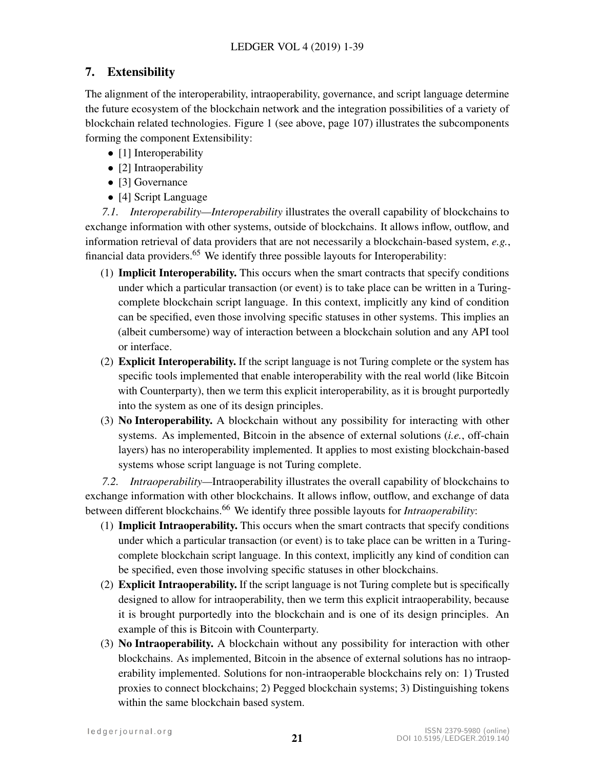# 7. Extensibility

The alignment of the interoperability, intraoperability, governance, and script language determine the future ecosystem of the blockchain network and the integration possibilities of a variety of blockchain related technologies. Figure [1](#page-7-0) (see above, page 107) illustrates the subcomponents forming the component Extensibility:

- [1] Interoperability
- [2] Intraoperability
- [3] Governance
- [4] Script Language

*7.1. Interoperability—Interoperability* illustrates the overall capability of blockchains to exchange information with other systems, outside of blockchains. It allows inflow, outflow, and information retrieval of data providers that are not necessarily a blockchain-based system, *e.g.*, financial data providers.<sup>[65](#page-34-16)</sup> We identify three possible layouts for Interoperability:

- (1) Implicit Interoperability. This occurs when the smart contracts that specify conditions under which a particular transaction (or event) is to take place can be written in a Turingcomplete blockchain script language. In this context, implicitly any kind of condition can be specified, even those involving specific statuses in other systems. This implies an (albeit cumbersome) way of interaction between a blockchain solution and any API tool or interface.
- (2) Explicit Interoperability. If the script language is not Turing complete or the system has specific tools implemented that enable interoperability with the real world (like Bitcoin with Counterparty), then we term this explicit interoperability, as it is brought purportedly into the system as one of its design principles.
- (3) No Interoperability. A blockchain without any possibility for interacting with other systems. As implemented, Bitcoin in the absence of external solutions (*i.e.*, off-chain layers) has no interoperability implemented. It applies to most existing blockchain-based systems whose script language is not Turing complete.

*7.2. Intraoperability—*Intraoperability illustrates the overall capability of blockchains to exchange information with other blockchains. It allows inflow, outflow, and exchange of data between different blockchains.<sup>[66](#page-35-0)</sup> We identify three possible layouts for *Intraoperability*:

- (1) Implicit Intraoperability. This occurs when the smart contracts that specify conditions under which a particular transaction (or event) is to take place can be written in a Turingcomplete blockchain script language. In this context, implicitly any kind of condition can be specified, even those involving specific statuses in other blockchains.
- (2) Explicit Intraoperability. If the script language is not Turing complete but is specifically designed to allow for intraoperability, then we term this explicit intraoperability, because it is brought purportedly into the blockchain and is one of its design principles. An example of this is Bitcoin with Counterparty.
- (3) No Intraoperability. A blockchain without any possibility for interaction with other blockchains. As implemented, Bitcoin in the absence of external solutions has no intraoperability implemented. Solutions for non-intraoperable blockchains rely on: 1) Trusted proxies to connect blockchains; 2) Pegged blockchain systems; 3) Distinguishing tokens within the same blockchain based system.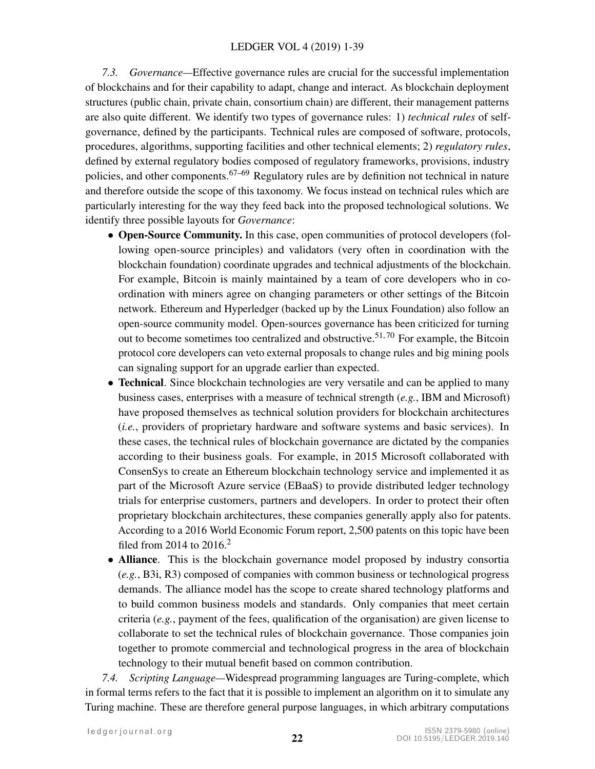*7.3. Governance—*Effective governance rules are crucial for the successful implementation of blockchains and for their capability to adapt, change and interact. As blockchain deployment structures (public chain, private chain, consortium chain) are different, their management patterns are also quite different. We identify two types of governance rules: 1) *technical rules* of selfgovernance, defined by the participants. Technical rules are composed of software, protocols, procedures, algorithms, supporting facilities and other technical elements; 2) *regulatory rules*, defined by external regulatory bodies composed of regulatory frameworks, provisions, industry policies, and other components.<sup>[67](#page-35-1)[–69](#page-35-2)</sup> Regulatory rules are by definition not technical in nature and therefore outside the scope of this taxonomy. We focus instead on technical rules which are particularly interesting for the way they feed back into the proposed technological solutions. We identify three possible layouts for *Governance*:

- Open-Source Community. In this case, open communities of protocol developers (following open-source principles) and validators (very often in coordination with the blockchain foundation) coordinate upgrades and technical adjustments of the blockchain. For example, Bitcoin is mainly maintained by a team of core developers who in coordination with miners agree on changing parameters or other settings of the Bitcoin network. Ethereum and Hyperledger (backed up by the Linux Foundation) also follow an open-source community model. Open-sources governance has been criticized for turning out to become sometimes too centralized and obstructive.<sup>[51,](#page-34-4)70</sup> For example, the Bitcoin protocol core developers can veto external proposals to change rules and big mining pools can signaling support for an upgrade earlier than expected.
- Technical. Since blockchain technologies are very versatile and can be applied to many business cases, enterprises with a measure of technical strength (*e.g.*, IBM and Microsoft) have proposed themselves as technical solution providers for blockchain architectures (*i.e.*, providers of proprietary hardware and software systems and basic services). In these cases, the technical rules of blockchain governance are dictated by the companies according to their business goals. For example, in 2015 Microsoft collaborated with ConsenSys to create an Ethereum blockchain technology service and implemented it as part of the Microsoft Azure service (EBaaS) to provide distributed ledger technology trials for enterprise customers, partners and developers. In order to protect their often proprietary blockchain architectures, these companies generally apply also for patents. According to a 2016 World Economic Forum report, 2,500 patents on this topic have been filed from [2](#page-31-1)014 to  $2016<sup>2</sup>$
- Alliance. This is the blockchain governance model proposed by industry consortia (*e.g.*, B3i, R3) composed of companies with common business or technological progress demands. The alliance model has the scope to create shared technology platforms and to build common business models and standards. Only companies that meet certain criteria (*e.g.*, payment of the fees, qualification of the organisation) are given license to collaborate to set the technical rules of blockchain governance. Those companies join together to promote commercial and technological progress in the area of blockchain technology to their mutual benefit based on common contribution.

*7.4. Scripting Language—*Widespread programming languages are Turing-complete, which in formal terms refers to the fact that it is possible to implement an algorithm on it to simulate any Turing machine. These are therefore general purpose languages, in which arbitrary computations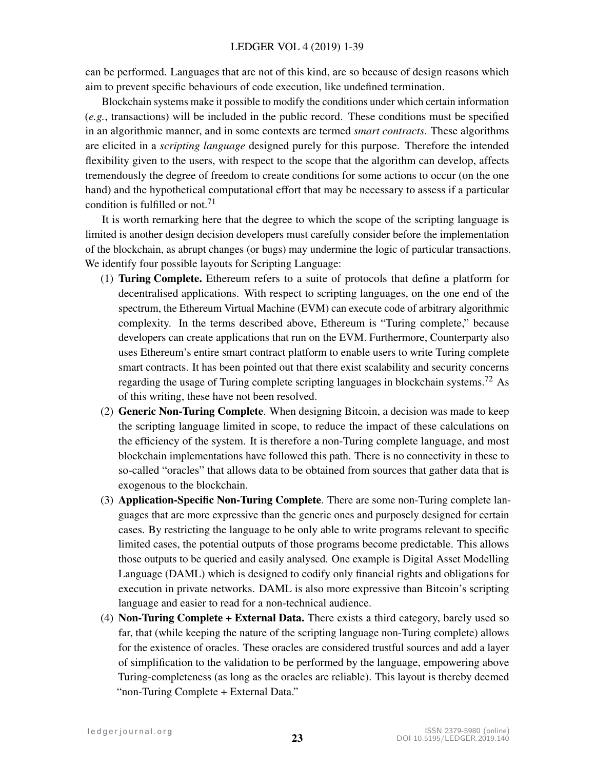can be performed. Languages that are not of this kind, are so because of design reasons which aim to prevent specific behaviours of code execution, like undefined termination.

Blockchain systems make it possible to modify the conditions under which certain information (*e.g.*, transactions) will be included in the public record. These conditions must be specified in an algorithmic manner, and in some contexts are termed *smart contracts*. These algorithms are elicited in a *scripting language* designed purely for this purpose. Therefore the intended flexibility given to the users, with respect to the scope that the algorithm can develop, affects tremendously the degree of freedom to create conditions for some actions to occur (on the one hand) and the hypothetical computational effort that may be necessary to assess if a particular condition is fulfilled or not.<sup>[71](#page-35-4)</sup>

It is worth remarking here that the degree to which the scope of the scripting language is limited is another design decision developers must carefully consider before the implementation of the blockchain, as abrupt changes (or bugs) may undermine the logic of particular transactions. We identify four possible layouts for Scripting Language:

- (1) Turing Complete. Ethereum refers to a suite of protocols that define a platform for decentralised applications. With respect to scripting languages, on the one end of the spectrum, the Ethereum Virtual Machine (EVM) can execute code of arbitrary algorithmic complexity. In the terms described above, Ethereum is "Turing complete," because developers can create applications that run on the EVM. Furthermore, Counterparty also uses Ethereum's entire smart contract platform to enable users to write Turing complete smart contracts. It has been pointed out that there exist scalability and security concerns regarding the usage of Turing complete scripting languages in blockchain systems.<sup>[72](#page-35-5)</sup> As of this writing, these have not been resolved.
- (2) Generic Non-Turing Complete. When designing Bitcoin, a decision was made to keep the scripting language limited in scope, to reduce the impact of these calculations on the efficiency of the system. It is therefore a non-Turing complete language, and most blockchain implementations have followed this path. There is no connectivity in these to so-called "oracles" that allows data to be obtained from sources that gather data that is exogenous to the blockchain.
- (3) Application-Specific Non-Turing Complete. There are some non-Turing complete languages that are more expressive than the generic ones and purposely designed for certain cases. By restricting the language to be only able to write programs relevant to specific limited cases, the potential outputs of those programs become predictable. This allows those outputs to be queried and easily analysed. One example is Digital Asset Modelling Language (DAML) which is designed to codify only financial rights and obligations for execution in private networks. DAML is also more expressive than Bitcoin's scripting language and easier to read for a non-technical audience.
- (4) Non-Turing Complete + External Data. There exists a third category, barely used so far, that (while keeping the nature of the scripting language non-Turing complete) allows for the existence of oracles. These oracles are considered trustful sources and add a layer of simplification to the validation to be performed by the language, empowering above Turing-completeness (as long as the oracles are reliable). This layout is thereby deemed "non-Turing Complete + External Data."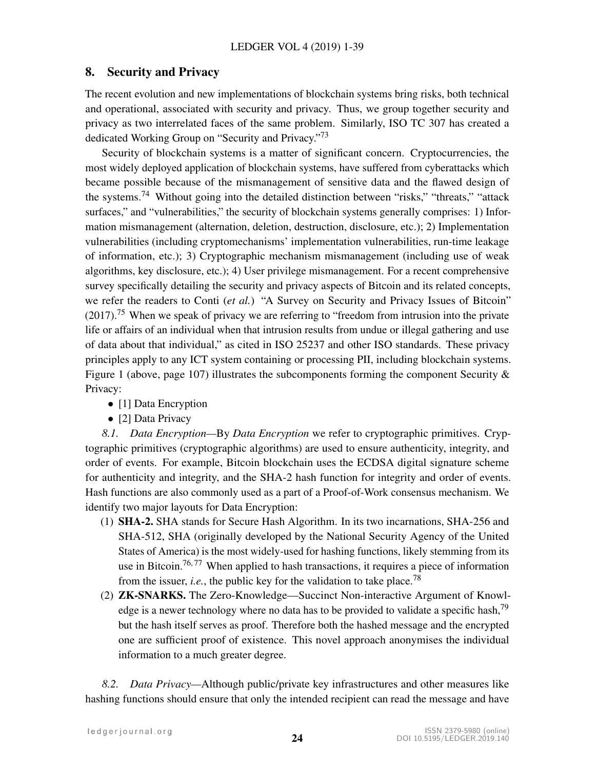# 8. Security and Privacy

The recent evolution and new implementations of blockchain systems bring risks, both technical and operational, associated with security and privacy. Thus, we group together security and privacy as two interrelated faces of the same problem. Similarly, ISO TC 307 has created a dedicated Working Group on "Security and Privacy."<sup>[73](#page-35-6)</sup>

Security of blockchain systems is a matter of significant concern. Cryptocurrencies, the most widely deployed application of blockchain systems, have suffered from cyberattacks which became possible because of the mismanagement of sensitive data and the flawed design of the systems.<sup>[74](#page-35-7)</sup> Without going into the detailed distinction between "risks," "threats," "attack surfaces," and "vulnerabilities," the security of blockchain systems generally comprises: 1) Information mismanagement (alternation, deletion, destruction, disclosure, etc.); 2) Implementation vulnerabilities (including cryptomechanisms' implementation vulnerabilities, run-time leakage of information, etc.); 3) Cryptographic mechanism mismanagement (including use of weak algorithms, key disclosure, etc.); 4) User privilege mismanagement. For a recent comprehensive survey specifically detailing the security and privacy aspects of Bitcoin and its related concepts, we refer the readers to Conti (*et al.*) "A Survey on Security and Privacy Issues of Bitcoin"  $(2017)$ .<sup>[75](#page-35-8)</sup> When we speak of privacy we are referring to "freedom from intrusion into the private life or affairs of an individual when that intrusion results from undue or illegal gathering and use of data about that individual," as cited in ISO 25237 and other ISO standards. These privacy principles apply to any ICT system containing or processing PII, including blockchain systems. Figure [1](#page-7-0) (above, page 107) illustrates the subcomponents forming the component Security  $\&$ Privacy:

- [1] Data Encryption
- [2] Data Privacy

*8.1. Data Encryption—*By *Data Encryption* we refer to cryptographic primitives. Cryptographic primitives (cryptographic algorithms) are used to ensure authenticity, integrity, and order of events. For example, Bitcoin blockchain uses the ECDSA digital signature scheme for authenticity and integrity, and the SHA-2 hash function for integrity and order of events. Hash functions are also commonly used as a part of a Proof-of-Work consensus mechanism. We identify two major layouts for Data Encryption:

- (1) SHA-2. SHA stands for Secure Hash Algorithm. In its two incarnations, SHA-256 and SHA-512, SHA (originally developed by the National Security Agency of the United States of America) is the most widely-used for hashing functions, likely stemming from its use in Bitcoin.<sup>[76,](#page-35-9) [77](#page-35-10)</sup> When applied to hash transactions, it requires a piece of information from the issuer, *i.e.*, the public key for the validation to take place.<sup>[78](#page-35-11)</sup>
- (2) ZK-SNARKS. The Zero-Knowledge—Succinct Non-interactive Argument of Knowl-edge is a newer technology where no data has to be provided to validate a specific hash,<sup>[79](#page-35-12)</sup> but the hash itself serves as proof. Therefore both the hashed message and the encrypted one are sufficient proof of existence. This novel approach anonymises the individual information to a much greater degree.

*8.2. Data Privacy—*Although public/private key infrastructures and other measures like hashing functions should ensure that only the intended recipient can read the message and have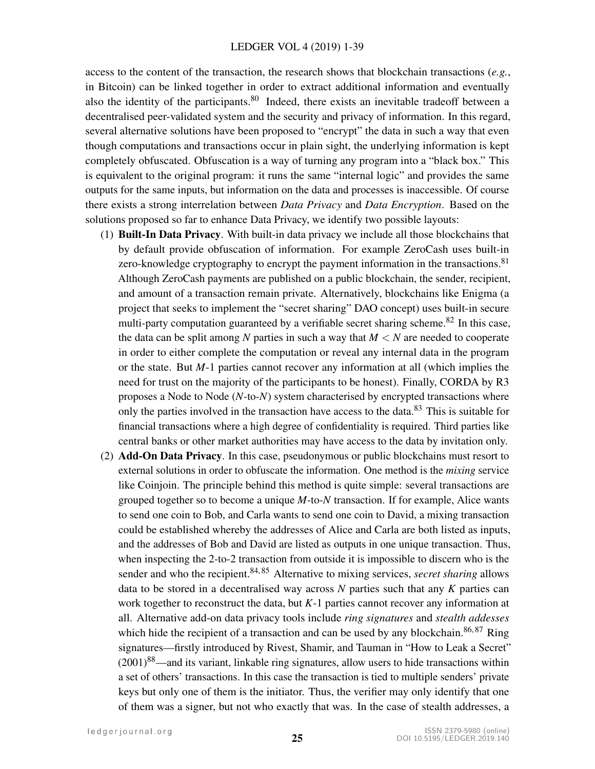access to the content of the transaction, the research shows that blockchain transactions (*e.g.*, in Bitcoin) can be linked together in order to extract additional information and eventually also the identity of the participants.<sup>[80](#page-35-13)</sup> Indeed, there exists an inevitable tradeoff between a decentralised peer-validated system and the security and privacy of information. In this regard, several alternative solutions have been proposed to "encrypt" the data in such a way that even though computations and transactions occur in plain sight, the underlying information is kept completely obfuscated. Obfuscation is a way of turning any program into a "black box." This is equivalent to the original program: it runs the same "internal logic" and provides the same outputs for the same inputs, but information on the data and processes is inaccessible. Of course there exists a strong interrelation between *Data Privacy* and *Data Encryption*. Based on the solutions proposed so far to enhance Data Privacy, we identify two possible layouts:

- (1) Built-In Data Privacy. With built-in data privacy we include all those blockchains that by default provide obfuscation of information. For example ZeroCash uses built-in zero-knowledge cryptography to encrypt the payment information in the transactions.<sup>[81](#page-35-14)</sup> Although ZeroCash payments are published on a public blockchain, the sender, recipient, and amount of a transaction remain private. Alternatively, blockchains like Enigma (a project that seeks to implement the "secret sharing" DAO concept) uses built-in secure multi-party computation guaranteed by a verifiable secret sharing scheme.<sup>[82](#page-35-15)</sup> In this case, the data can be split among N parties in such a way that  $M < N$  are needed to cooperate in order to either complete the computation or reveal any internal data in the program or the state. But *M*-1 parties cannot recover any information at all (which implies the need for trust on the majority of the participants to be honest). Finally, CORDA by R3 proposes a Node to Node (*N*-to-*N*) system characterised by encrypted transactions where only the parties involved in the transaction have access to the data.<sup>[83](#page-35-16)</sup> This is suitable for financial transactions where a high degree of confidentiality is required. Third parties like central banks or other market authorities may have access to the data by invitation only.
- (2) Add-On Data Privacy. In this case, pseudonymous or public blockchains must resort to external solutions in order to obfuscate the information. One method is the *mixing* service like Coinjoin. The principle behind this method is quite simple: several transactions are grouped together so to become a unique *M*-to-*N* transaction. If for example, Alice wants to send one coin to Bob, and Carla wants to send one coin to David, a mixing transaction could be established whereby the addresses of Alice and Carla are both listed as inputs, and the addresses of Bob and David are listed as outputs in one unique transaction. Thus, when inspecting the 2-to-2 transaction from outside it is impossible to discern who is the sender and who the recipient.<sup>[84,](#page-36-0) [85](#page-36-1)</sup> Alternative to mixing services, *secret sharing* allows data to be stored in a decentralised way across *N* parties such that any *K* parties can work together to reconstruct the data, but *K*-1 parties cannot recover any information at all. Alternative add-on data privacy tools include *ring signatures* and *stealth addesses* which hide the recipient of a transaction and can be used by any blockchain.<sup>[86,](#page-36-2) [87](#page-36-3)</sup> Ring signatures—firstly introduced by Rivest, Shamir, and Tauman in "How to Leak a Secret"  $(2001)^{88}$  $(2001)^{88}$  $(2001)^{88}$ —and its variant, linkable ring signatures, allow users to hide transactions within a set of others' transactions. In this case the transaction is tied to multiple senders' private keys but only one of them is the initiator. Thus, the verifier may only identify that one of them was a signer, but not who exactly that was. In the case of stealth addresses, a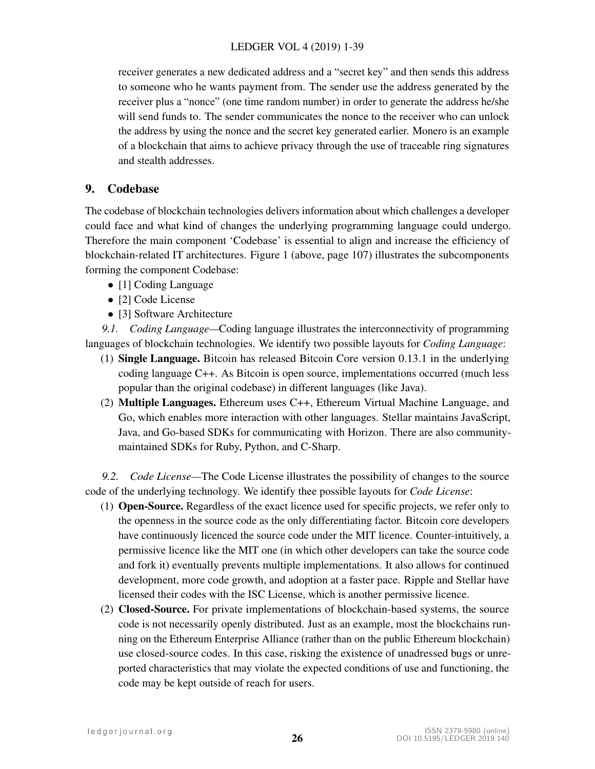receiver generates a new dedicated address and a "secret key" and then sends this address to someone who he wants payment from. The sender use the address generated by the receiver plus a "nonce" (one time random number) in order to generate the address he/she will send funds to. The sender communicates the nonce to the receiver who can unlock the address by using the nonce and the secret key generated earlier. Monero is an example of a blockchain that aims to achieve privacy through the use of traceable ring signatures and stealth addresses.

# 9. Codebase

The codebase of blockchain technologies delivers information about which challenges a developer could face and what kind of changes the underlying programming language could undergo. Therefore the main component 'Codebase' is essential to align and increase the efficiency of blockchain-related IT architectures. Figure [1](#page-7-0) (above, page 107) illustrates the subcomponents forming the component Codebase:

- [1] Coding Language
- [2] Code License
- [3] Software Architecture

*9.1. Coding Language—*Coding language illustrates the interconnectivity of programming languages of blockchain technologies. We identify two possible layouts for *Coding Language*:

- (1) Single Language. Bitcoin has released Bitcoin Core version 0.13.1 in the underlying coding language C++. As Bitcoin is open source, implementations occurred (much less popular than the original codebase) in different languages (like Java).
- (2) Multiple Languages. Ethereum uses C++, Ethereum Virtual Machine Language, and Go, which enables more interaction with other languages. Stellar maintains JavaScript, Java, and Go-based SDKs for communicating with Horizon. There are also communitymaintained SDKs for Ruby, Python, and C-Sharp.

*9.2. Code License—*The Code License illustrates the possibility of changes to the source code of the underlying technology. We identify thee possible layouts for *Code License*:

- (1) Open-Source. Regardless of the exact licence used for specific projects, we refer only to the openness in the source code as the only differentiating factor. Bitcoin core developers have continuously licenced the source code under the MIT licence. Counter-intuitively, a permissive licence like the MIT one (in which other developers can take the source code and fork it) eventually prevents multiple implementations. It also allows for continued development, more code growth, and adoption at a faster pace. Ripple and Stellar have licensed their codes with the ISC License, which is another permissive licence.
- (2) Closed-Source. For private implementations of blockchain-based systems, the source code is not necessarily openly distributed. Just as an example, most the blockchains running on the Ethereum Enterprise Alliance (rather than on the public Ethereum blockchain) use closed-source codes. In this case, risking the existence of unadressed bugs or unreported characteristics that may violate the expected conditions of use and functioning, the code may be kept outside of reach for users.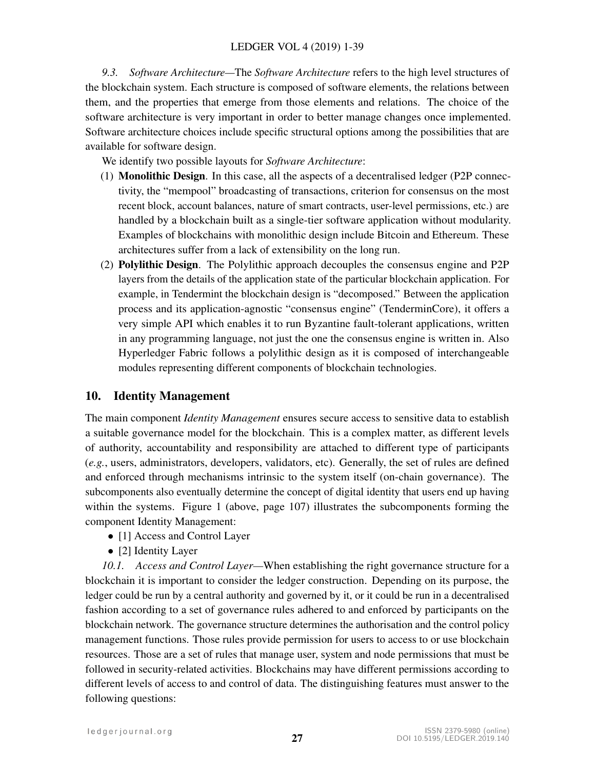*9.3. Software Architecture—*The *Software Architecture* refers to the high level structures of the blockchain system. Each structure is composed of software elements, the relations between them, and the properties that emerge from those elements and relations. The choice of the software architecture is very important in order to better manage changes once implemented. Software architecture choices include specific structural options among the possibilities that are available for software design.

We identify two possible layouts for *Software Architecture*:

- (1) Monolithic Design. In this case, all the aspects of a decentralised ledger (P2P connectivity, the "mempool" broadcasting of transactions, criterion for consensus on the most recent block, account balances, nature of smart contracts, user-level permissions, etc.) are handled by a blockchain built as a single-tier software application without modularity. Examples of blockchains with monolithic design include Bitcoin and Ethereum. These architectures suffer from a lack of extensibility on the long run.
- (2) Polylithic Design. The Polylithic approach decouples the consensus engine and P2P layers from the details of the application state of the particular blockchain application. For example, in Tendermint the blockchain design is "decomposed." Between the application process and its application-agnostic "consensus engine" (TenderminCore), it offers a very simple API which enables it to run Byzantine fault-tolerant applications, written in any programming language, not just the one the consensus engine is written in. Also Hyperledger Fabric follows a polylithic design as it is composed of interchangeable modules representing different components of blockchain technologies.

# 10. Identity Management

The main component *Identity Management* ensures secure access to sensitive data to establish a suitable governance model for the blockchain. This is a complex matter, as different levels of authority, accountability and responsibility are attached to different type of participants (*e.g.*, users, administrators, developers, validators, etc). Generally, the set of rules are defined and enforced through mechanisms intrinsic to the system itself (on-chain governance). The subcomponents also eventually determine the concept of digital identity that users end up having within the systems. Figure [1](#page-7-0) (above, page 107) illustrates the subcomponents forming the component Identity Management:

- [1] Access and Control Layer
- [2] Identity Layer

*10.1. Access and Control Layer—*When establishing the right governance structure for a blockchain it is important to consider the ledger construction. Depending on its purpose, the ledger could be run by a central authority and governed by it, or it could be run in a decentralised fashion according to a set of governance rules adhered to and enforced by participants on the blockchain network. The governance structure determines the authorisation and the control policy management functions. Those rules provide permission for users to access to or use blockchain resources. Those are a set of rules that manage user, system and node permissions that must be followed in security-related activities. Blockchains may have different permissions according to different levels of access to and control of data. The distinguishing features must answer to the following questions: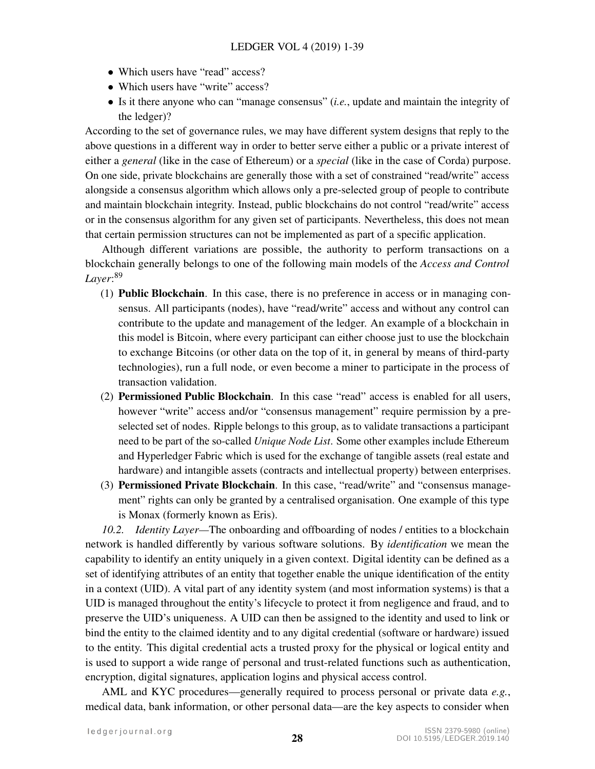- Which users have "read" access?
- Which users have "write" access?
- Is it there anyone who can "manage consensus" (*i.e.*, update and maintain the integrity of the ledger)?

According to the set of governance rules, we may have different system designs that reply to the above questions in a different way in order to better serve either a public or a private interest of either a *general* (like in the case of Ethereum) or a *special* (like in the case of Corda) purpose. On one side, private blockchains are generally those with a set of constrained "read/write" access alongside a consensus algorithm which allows only a pre-selected group of people to contribute and maintain blockchain integrity. Instead, public blockchains do not control "read/write" access or in the consensus algorithm for any given set of participants. Nevertheless, this does not mean that certain permission structures can not be implemented as part of a specific application.

Although different variations are possible, the authority to perform transactions on a blockchain generally belongs to one of the following main models of the *Access and Control Layer*: [89](#page-36-5)

- (1) Public Blockchain. In this case, there is no preference in access or in managing consensus. All participants (nodes), have "read/write" access and without any control can contribute to the update and management of the ledger. An example of a blockchain in this model is Bitcoin, where every participant can either choose just to use the blockchain to exchange Bitcoins (or other data on the top of it, in general by means of third-party technologies), run a full node, or even become a miner to participate in the process of transaction validation.
- (2) Permissioned Public Blockchain. In this case "read" access is enabled for all users, however "write" access and/or "consensus management" require permission by a preselected set of nodes. Ripple belongs to this group, as to validate transactions a participant need to be part of the so-called *Unique Node List*. Some other examples include Ethereum and Hyperledger Fabric which is used for the exchange of tangible assets (real estate and hardware) and intangible assets (contracts and intellectual property) between enterprises.
- (3) Permissioned Private Blockchain. In this case, "read/write" and "consensus management" rights can only be granted by a centralised organisation. One example of this type is Monax (formerly known as Eris).

*10.2. Identity Layer—*The onboarding and offboarding of nodes / entities to a blockchain network is handled differently by various software solutions. By *identification* we mean the capability to identify an entity uniquely in a given context. Digital identity can be defined as a set of identifying attributes of an entity that together enable the unique identification of the entity in a context (UID). A vital part of any identity system (and most information systems) is that a UID is managed throughout the entity's lifecycle to protect it from negligence and fraud, and to preserve the UID's uniqueness. A UID can then be assigned to the identity and used to link or bind the entity to the claimed identity and to any digital credential (software or hardware) issued to the entity. This digital credential acts a trusted proxy for the physical or logical entity and is used to support a wide range of personal and trust-related functions such as authentication, encryption, digital signatures, application logins and physical access control.

AML and KYC procedures—generally required to process personal or private data *e.g.*, medical data, bank information, or other personal data—are the key aspects to consider when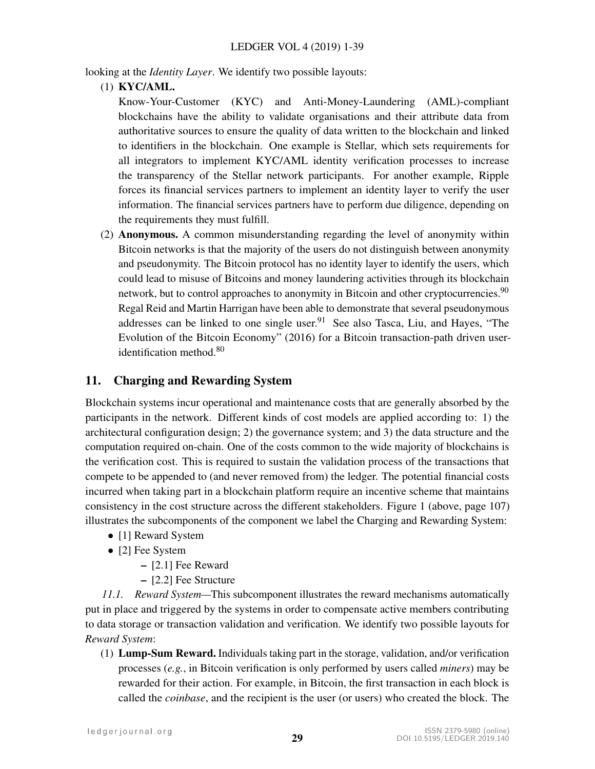looking at the *Identity Layer*. We identify two possible layouts:

(1) KYC/AML.

Know-Your-Customer (KYC) and Anti-Money-Laundering (AML)-compliant blockchains have the ability to validate organisations and their attribute data from authoritative sources to ensure the quality of data written to the blockchain and linked to identifiers in the blockchain. One example is Stellar, which sets requirements for all integrators to implement KYC/AML identity verification processes to increase the transparency of the Stellar network participants. For another example, Ripple forces its financial services partners to implement an identity layer to verify the user information. The financial services partners have to perform due diligence, depending on the requirements they must fulfill.

(2) Anonymous. A common misunderstanding regarding the level of anonymity within Bitcoin networks is that the majority of the users do not distinguish between anonymity and pseudonymity. The Bitcoin protocol has no identity layer to identify the users, which could lead to misuse of Bitcoins and money laundering activities through its blockchain network, but to control approaches to anonymity in Bitcoin and other cryptocurrencies.<sup>[90](#page-36-6)</sup> Regal Reid and Martin Harrigan have been able to demonstrate that several pseudonymous addresses can be linked to one single user. <sup>[91](#page-36-7)</sup> See also Tasca, Liu, and Hayes, "The Evolution of the Bitcoin Economy" (2016) for a Bitcoin transaction-path driven useridentification method.[80](#page-35-13)

# <span id="page-28-0"></span>11. Charging and Rewarding System

Blockchain systems incur operational and maintenance costs that are generally absorbed by the participants in the network. Different kinds of cost models are applied according to: 1) the architectural configuration design; 2) the governance system; and 3) the data structure and the computation required on-chain. One of the costs common to the wide majority of blockchains is the verification cost. This is required to sustain the validation process of the transactions that compete to be appended to (and never removed from) the ledger. The potential financial costs incurred when taking part in a blockchain platform require an incentive scheme that maintains consistency in the cost structure across the different stakeholders. Figure [1](#page-7-0) (above, page 107) illustrates the subcomponents of the component we label the Charging and Rewarding System:

- [1] Reward System
- [2] Fee System
	- [2.1] Fee Reward
	- [2.2] Fee Structure

*11.1. Reward System—*This subcomponent illustrates the reward mechanisms automatically put in place and triggered by the systems in order to compensate active members contributing to data storage or transaction validation and verification. We identify two possible layouts for *Reward System*:

(1) **Lump-Sum Reward.** Individuals taking part in the storage, validation, and/or verification processes (*e.g.*, in Bitcoin verification is only performed by users called *miners*) may be rewarded for their action. For example, in Bitcoin, the first transaction in each block is called the *coinbase*, and the recipient is the user (or users) who created the block. The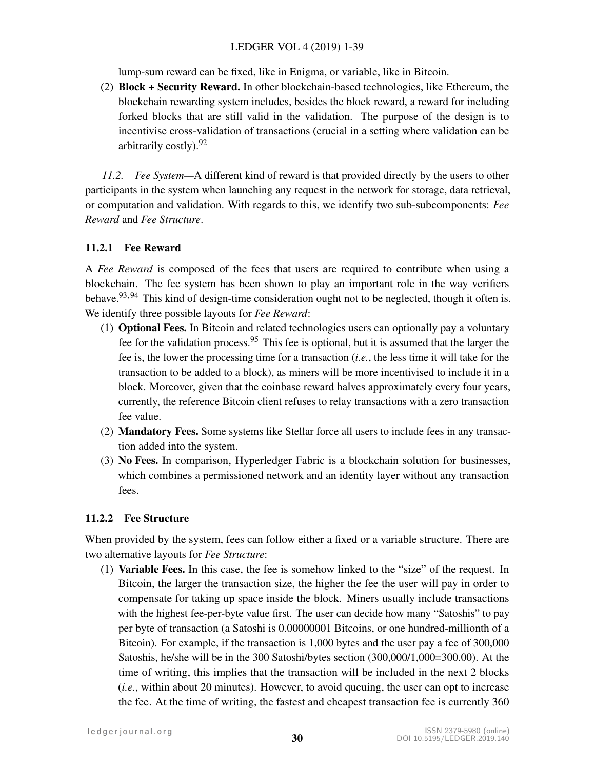## LEDGER VOL 4 (2019) 1-39

lump-sum reward can be fixed, like in Enigma, or variable, like in Bitcoin.

(2) Block + Security Reward. In other blockchain-based technologies, like Ethereum, the blockchain rewarding system includes, besides the block reward, a reward for including forked blocks that are still valid in the validation. The purpose of the design is to incentivise cross-validation of transactions (crucial in a setting where validation can be arbitrarily costly).[92](#page-36-8)

*11.2. Fee System—*A different kind of reward is that provided directly by the users to other participants in the system when launching any request in the network for storage, data retrieval, or computation and validation. With regards to this, we identify two sub-subcomponents: *Fee Reward* and *Fee Structure*.

# 11.2.1 Fee Reward

A *Fee Reward* is composed of the fees that users are required to contribute when using a blockchain. The fee system has been shown to play an important role in the way verifiers behave.<sup>[93,](#page-36-9) [94](#page-36-10)</sup> This kind of design-time consideration ought not to be neglected, though it often is. We identify three possible layouts for *Fee Reward*:

- (1) Optional Fees. In Bitcoin and related technologies users can optionally pay a voluntary fee for the validation process.<sup>[95](#page-36-11)</sup> This fee is optional, but it is assumed that the larger the fee is, the lower the processing time for a transaction (*i.e.*, the less time it will take for the transaction to be added to a block), as miners will be more incentivised to include it in a block. Moreover, given that the coinbase reward halves approximately every four years, currently, the reference Bitcoin client refuses to relay transactions with a zero transaction fee value.
- (2) Mandatory Fees. Some systems like Stellar force all users to include fees in any transaction added into the system.
- (3) No Fees. In comparison, Hyperledger Fabric is a blockchain solution for businesses, which combines a permissioned network and an identity layer without any transaction fees.

# 11.2.2 Fee Structure

When provided by the system, fees can follow either a fixed or a variable structure. There are two alternative layouts for *Fee Structure*:

(1) Variable Fees. In this case, the fee is somehow linked to the "size" of the request. In Bitcoin, the larger the transaction size, the higher the fee the user will pay in order to compensate for taking up space inside the block. Miners usually include transactions with the highest fee-per-byte value first. The user can decide how many "Satoshis" to pay per byte of transaction (a Satoshi is 0.00000001 Bitcoins, or one hundred-millionth of a Bitcoin). For example, if the transaction is 1,000 bytes and the user pay a fee of 300,000 Satoshis, he/she will be in the 300 Satoshi/bytes section (300,000/1,000=300.00). At the time of writing, this implies that the transaction will be included in the next 2 blocks (*i.e.*, within about 20 minutes). However, to avoid queuing, the user can opt to increase the fee. At the time of writing, the fastest and cheapest transaction fee is currently 360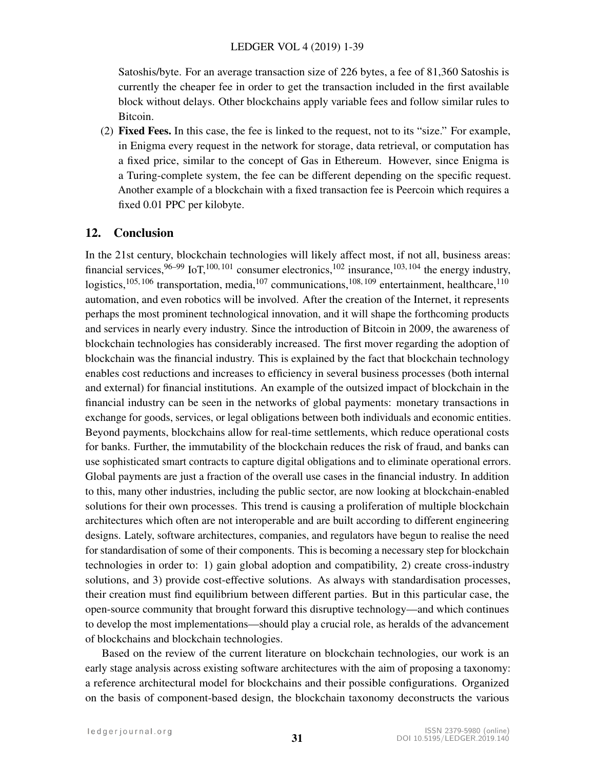Satoshis/byte. For an average transaction size of 226 bytes, a fee of 81,360 Satoshis is currently the cheaper fee in order to get the transaction included in the first available block without delays. Other blockchains apply variable fees and follow similar rules to Bitcoin.

(2) Fixed Fees. In this case, the fee is linked to the request, not to its "size." For example, in Enigma every request in the network for storage, data retrieval, or computation has a fixed price, similar to the concept of Gas in Ethereum. However, since Enigma is a Turing-complete system, the fee can be different depending on the specific request. Another example of a blockchain with a fixed transaction fee is Peercoin which requires a fixed 0.01 PPC per kilobyte.

# 12. Conclusion

In the 21st century, blockchain technologies will likely affect most, if not all, business areas: financial services, $96-99$  $96-99$  IoT, $100, 101$  $100, 101$  consumer electronics, $102$  insurance, $103, 104$  $103, 104$  the energy industry, logistics,<sup>[105,](#page-37-4) [106](#page-37-5)</sup> transportation, media,<sup>[107](#page-37-6)</sup> communications,<sup>[108,](#page-37-7) [109](#page-37-8)</sup> entertainment, healthcare,<sup>[110](#page-37-9)</sup> automation, and even robotics will be involved. After the creation of the Internet, it represents perhaps the most prominent technological innovation, and it will shape the forthcoming products and services in nearly every industry. Since the introduction of Bitcoin in 2009, the awareness of blockchain technologies has considerably increased. The first mover regarding the adoption of blockchain was the financial industry. This is explained by the fact that blockchain technology enables cost reductions and increases to efficiency in several business processes (both internal and external) for financial institutions. An example of the outsized impact of blockchain in the financial industry can be seen in the networks of global payments: monetary transactions in exchange for goods, services, or legal obligations between both individuals and economic entities. Beyond payments, blockchains allow for real-time settlements, which reduce operational costs for banks. Further, the immutability of the blockchain reduces the risk of fraud, and banks can use sophisticated smart contracts to capture digital obligations and to eliminate operational errors. Global payments are just a fraction of the overall use cases in the financial industry. In addition to this, many other industries, including the public sector, are now looking at blockchain-enabled solutions for their own processes. This trend is causing a proliferation of multiple blockchain architectures which often are not interoperable and are built according to different engineering designs. Lately, software architectures, companies, and regulators have begun to realise the need for standardisation of some of their components. This is becoming a necessary step for blockchain technologies in order to: 1) gain global adoption and compatibility, 2) create cross-industry solutions, and 3) provide cost-effective solutions. As always with standardisation processes, their creation must find equilibrium between different parties. But in this particular case, the open-source community that brought forward this disruptive technology—and which continues to develop the most implementations—should play a crucial role, as heralds of the advancement of blockchains and blockchain technologies.

Based on the review of the current literature on blockchain technologies, our work is an early stage analysis across existing software architectures with the aim of proposing a taxonomy: a reference architectural model for blockchains and their possible configurations. Organized on the basis of component-based design, the blockchain taxonomy deconstructs the various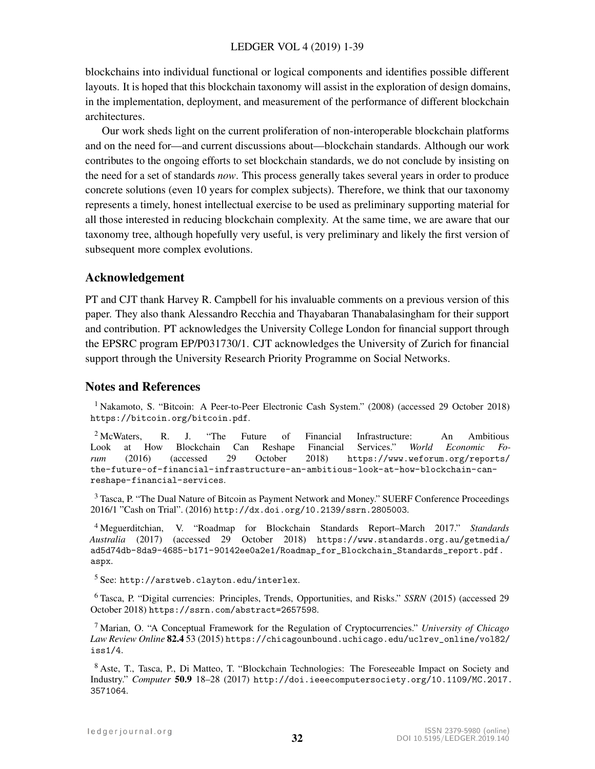blockchains into individual functional or logical components and identifies possible different layouts. It is hoped that this blockchain taxonomy will assist in the exploration of design domains, in the implementation, deployment, and measurement of the performance of different blockchain architectures.

Our work sheds light on the current proliferation of non-interoperable blockchain platforms and on the need for—and current discussions about—blockchain standards. Although our work contributes to the ongoing efforts to set blockchain standards, we do not conclude by insisting on the need for a set of standards *now*. This process generally takes several years in order to produce concrete solutions (even 10 years for complex subjects). Therefore, we think that our taxonomy represents a timely, honest intellectual exercise to be used as preliminary supporting material for all those interested in reducing blockchain complexity. At the same time, we are aware that our taxonomy tree, although hopefully very useful, is very preliminary and likely the first version of subsequent more complex evolutions.

# Acknowledgement

PT and CJT thank Harvey R. Campbell for his invaluable comments on a previous version of this paper. They also thank Alessandro Recchia and Thayabaran Thanabalasingham for their support and contribution. PT acknowledges the University College London for financial support through the EPSRC program EP/P031730/1. CJT acknowledges the University of Zurich for financial support through the University Research Priority Programme on Social Networks.

# Notes and References

<span id="page-31-0"></span><sup>1</sup> Nakamoto, S. "Bitcoin: A Peer-to-Peer Electronic Cash System." (2008) (accessed 29 October 2018) <https://bitcoin.org/bitcoin.pdf>.

<span id="page-31-1"></span><sup>2</sup> McWaters, R. J. "The Future of Financial Infrastructure: An Ambitious Look at How Blockchain Can Reshape Financial Services." *World Economic Forum* (2016) (accessed 29 October 2018) [https://www.weforum.org/reports/](https://www.weforum.org/reports/the-future-of-financial-infrastructure-an-ambitious-look-at-how-blockchain-can-) [the-future-of-financial-infrastructure-an-ambitious-look-at-how-blockchain-can](https://www.weforum.org/reports/the-future-of-financial-infrastructure-an-ambitious-look-at-how-blockchain-can-)<reshape-financial-services>.

<span id="page-31-2"></span><sup>3</sup> Tasca, P. "The Dual Nature of Bitcoin as Payment Network and Money." SUERF Conference Proceedings 2016/1 "Cash on Trial". (2016) <http://dx.doi.org/10.2139/ssrn.2805003>.

<span id="page-31-3"></span><sup>4</sup> Meguerditchian, V. "Roadmap for Blockchain Standards Report–March 2017." *Standards Australia* (2017) (accessed 29 October 2018) [https://www.standards.org.au/getmedia/](https://www.standards.org.au/getmedia/ad5d74db-8da9-4685-b171-90142ee0a2e1/Roadmap_for_Blockchain_Standards_report.pdf.aspx) [ad5d74db-8da9-4685-b171-90142ee0a2e1/Roadmap\\_for\\_Blockchain\\_Standards\\_report.pdf.](https://www.standards.org.au/getmedia/ad5d74db-8da9-4685-b171-90142ee0a2e1/Roadmap_for_Blockchain_Standards_report.pdf.aspx) [aspx](https://www.standards.org.au/getmedia/ad5d74db-8da9-4685-b171-90142ee0a2e1/Roadmap_for_Blockchain_Standards_report.pdf.aspx).

<span id="page-31-4"></span><sup>5</sup> See: <http://arstweb.clayton.edu/interlex>.

<span id="page-31-5"></span><sup>6</sup> Tasca, P. "Digital currencies: Principles, Trends, Opportunities, and Risks." *SSRN* (2015) (accessed 29 October 2018) <https://ssrn.com/abstract=2657598>.

<span id="page-31-6"></span><sup>7</sup> Marian, O. "A Conceptual Framework for the Regulation of Cryptocurrencies." *University of Chicago Law Review Online* 82.4 53 (2015) [https://chicagounbound.uchicago.edu/uclrev\\_online/vol82/](https://chicagounbound.uchicago.edu/uclrev_online/vol82/iss1/4) [iss1/4](https://chicagounbound.uchicago.edu/uclrev_online/vol82/iss1/4).

<span id="page-31-7"></span><sup>8</sup> Aste, T., Tasca, P., Di Matteo, T. "Blockchain Technologies: The Foreseeable Impact on Society and Industry." *Computer* 50.9 18–28 (2017) [http://doi.ieeecomputersociety.org/10.1109/MC.2017.](http://doi.ieeecomputersociety.org/10.1109/MC.2017.3571064) [3571064](http://doi.ieeecomputersociety.org/10.1109/MC.2017.3571064).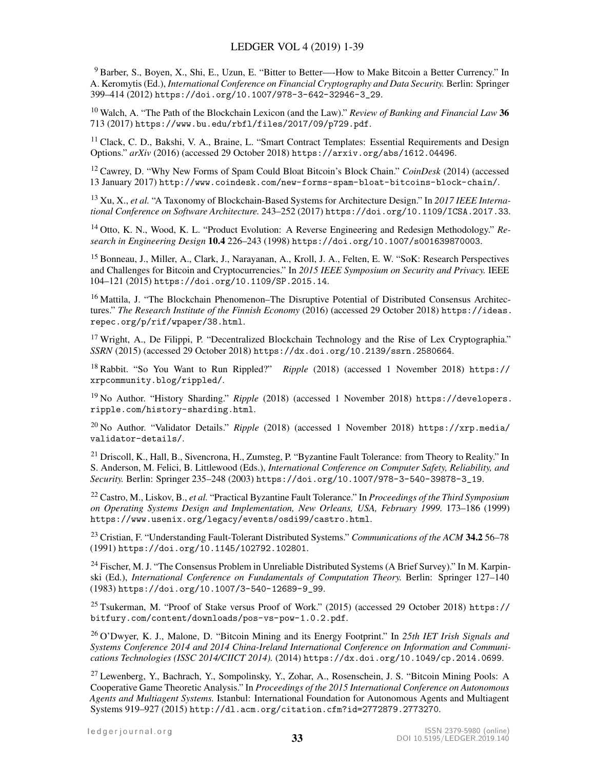<span id="page-32-0"></span><sup>9</sup> Barber, S., Boyen, X., Shi, E., Uzun, E. "Bitter to Better—-How to Make Bitcoin a Better Currency." In A. Keromytis (Ed.), *International Conference on Financial Cryptography and Data Security.* Berlin: Springer 399–414 (2012) [https://doi.org/10.1007/978-3-642-32946-3\\_29](https://doi.org/10.1007/978-3-642-32946-3_29).

<span id="page-32-1"></span><sup>10</sup> Walch, A. "The Path of the Blockchain Lexicon (and the Law)." *Review of Banking and Financial Law* 36 713 (2017) <https://www.bu.edu/rbfl/files/2017/09/p729.pdf>.

<span id="page-32-2"></span><sup>11</sup> Clack, C. D., Bakshi, V. A., Braine, L. "Smart Contract Templates: Essential Requirements and Design Options." *arXiv* (2016) (accessed 29 October 2018) <https://arxiv.org/abs/1612.04496>.

<span id="page-32-3"></span><sup>12</sup> Cawrey, D. "Why New Forms of Spam Could Bloat Bitcoin's Block Chain." *CoinDesk* (2014) (accessed 13 January 2017) <http://www.coindesk.com/new-forms-spam-bloat-bitcoins-block-chain/>.

<span id="page-32-4"></span><sup>13</sup> Xu, X., *et al.* "A Taxonomy of Blockchain-Based Systems for Architecture Design." In *2017 IEEE International Conference on Software Architecture.* 243–252 (2017) <https://doi.org/10.1109/ICSA.2017.33>.

<span id="page-32-5"></span><sup>14</sup> Otto, K. N., Wood, K. L. "Product Evolution: A Reverse Engineering and Redesign Methodology." *Research in Engineering Design* 10.4 226–243 (1998) <https://doi.org/10.1007/s001639870003>.

<span id="page-32-6"></span><sup>15</sup> Bonneau, J., Miller, A., Clark, J., Narayanan, A., Kroll, J. A., Felten, E. W. "SoK: Research Perspectives and Challenges for Bitcoin and Cryptocurrencies." In *2015 IEEE Symposium on Security and Privacy.* IEEE 104–121 (2015) <https://doi.org/10.1109/SP.2015.14>.

<span id="page-32-7"></span><sup>16</sup> Mattila, J. "The Blockchain Phenomenon–The Disruptive Potential of Distributed Consensus Architectures." *The Research Institute of the Finnish Economy* (2016) (accessed 29 October 2018) [https://ideas.](https://ideas.repec.org/p/rif/wpaper/38.html) [repec.org/p/rif/wpaper/38.html](https://ideas.repec.org/p/rif/wpaper/38.html).

<span id="page-32-8"></span><sup>17</sup> Wright, A., De Filippi, P. "Decentralized Blockchain Technology and the Rise of Lex Cryptographia." *SSRN* (2015) (accessed 29 October 2018) <https://dx.doi.org/10.2139/ssrn.2580664>.

<span id="page-32-9"></span><sup>18</sup> Rabbit. "So You Want to Run Rippled?" *Ripple* (2018) (accessed 1 November 2018) [https://](https://xrpcommunity.blog/rippled/) [xrpcommunity.blog/rippled/](https://xrpcommunity.blog/rippled/).

<span id="page-32-10"></span><sup>19</sup> No Author. "History Sharding." *Ripple* (2018) (accessed 1 November 2018) [https://developers.](https://developers.ripple.com/history-sharding.html) [ripple.com/history-sharding.html](https://developers.ripple.com/history-sharding.html).

<span id="page-32-11"></span><sup>20</sup> No Author. "Validator Details." *Ripple* (2018) (accessed 1 November 2018) [https://xrp.media/](https://xrp.media/validator-details/) [validator-details/](https://xrp.media/validator-details/).

<span id="page-32-12"></span><sup>21</sup> Driscoll, K., Hall, B., Sivencrona, H., Zumsteg, P. "Byzantine Fault Tolerance: from Theory to Reality." In S. Anderson, M. Felici, B. Littlewood (Eds.), *International Conference on Computer Safety, Reliability, and Security.* Berlin: Springer 235–248 (2003) [https://doi.org/10.1007/978-3-540-39878-3\\_19](https://doi.org/10.1007/978-3-540-39878-3_19).

<span id="page-32-13"></span><sup>22</sup> Castro, M., Liskov, B., *et al.* "Practical Byzantine Fault Tolerance." In *Proceedings of the Third Symposium on Operating Systems Design and Implementation, New Orleans, USA, February 1999.* 173–186 (1999) <https://www.usenix.org/legacy/events/osdi99/castro.html>.

<span id="page-32-14"></span><sup>23</sup> Cristian, F. "Understanding Fault-Tolerant Distributed Systems." *Communications of the ACM* 34.2 56–78 (1991) <https://doi.org/10.1145/102792.102801>.

<span id="page-32-15"></span><sup>24</sup> Fischer, M. J. "The Consensus Problem in Unreliable Distributed Systems (A Brief Survey)." In M. Karpinski (Ed.), *International Conference on Fundamentals of Computation Theory.* Berlin: Springer 127–140 (1983) [https://doi.org/10.1007/3-540-12689-9\\_99](https://doi.org/10.1007/3-540-12689-9_99).

<span id="page-32-16"></span><sup>25</sup> Tsukerman, M. "Proof of Stake versus Proof of Work." (2015) (accessed 29 October 2018) [https://](https://bitfury.com/content/downloads/pos-vs-pow-1.0.2.pdf) [bitfury.com/content/downloads/pos-vs-pow-1.0.2.pdf](https://bitfury.com/content/downloads/pos-vs-pow-1.0.2.pdf).

<span id="page-32-17"></span><sup>26</sup> O'Dwyer, K. J., Malone, D. "Bitcoin Mining and its Energy Footprint." In *25th IET Irish Signals and Systems Conference 2014 and 2014 China-Ireland International Conference on Information and Communications Technologies (ISSC 2014/CIICT 2014).* (2014) <https://dx.doi.org/10.1049/cp.2014.0699>.

<span id="page-32-18"></span><sup>27</sup> Lewenberg, Y., Bachrach, Y., Sompolinsky, Y., Zohar, A., Rosenschein, J. S. "Bitcoin Mining Pools: A Cooperative Game Theoretic Analysis." In *Proceedings of the 2015 International Conference on Autonomous Agents and Multiagent Systems.* Istanbul: International Foundation for Autonomous Agents and Multiagent Systems 919–927 (2015) <http://dl.acm.org/citation.cfm?id=2772879.2773270>.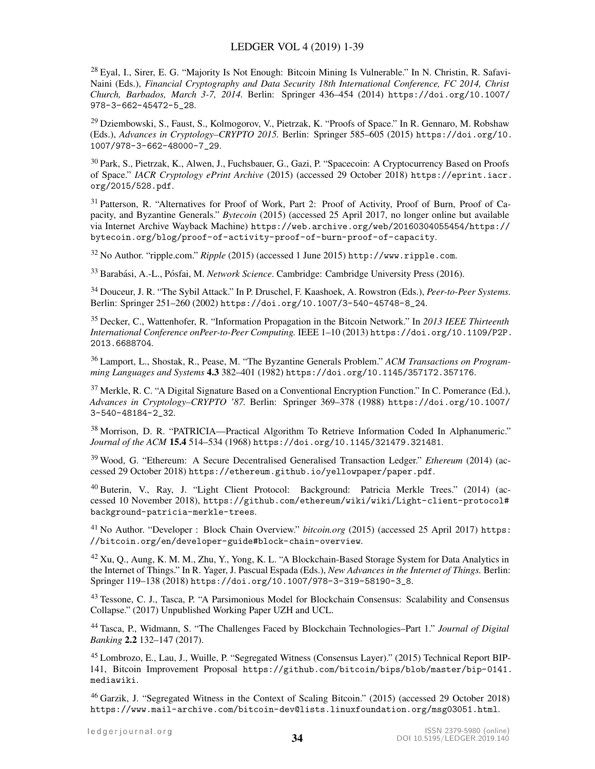<span id="page-33-0"></span><sup>28</sup> Eyal, I., Sirer, E. G. "Majority Is Not Enough: Bitcoin Mining Is Vulnerable." In N. Christin, R. Safavi-Naini (Eds.), *Financial Cryptography and Data Security 18th International Conference, FC 2014, Christ Church, Barbados, March 3-7, 2014.* Berlin: Springer 436–454 (2014) [https://doi.org/10.1007/](https://doi.org/10.1007/978-3-662-45472-5_28) [978-3-662-45472-5\\_28](https://doi.org/10.1007/978-3-662-45472-5_28).

<span id="page-33-1"></span><sup>29</sup> Dziembowski, S., Faust, S., Kolmogorov, V., Pietrzak, K. "Proofs of Space." In R. Gennaro, M. Robshaw (Eds.), *Advances in Cryptology–CRYPTO 2015.* Berlin: Springer 585–605 (2015) [https://doi.org/10.](https://doi.org/10.1007/978-3-662-48000-7_29) [1007/978-3-662-48000-7\\_29](https://doi.org/10.1007/978-3-662-48000-7_29).

<span id="page-33-2"></span><sup>30</sup> Park, S., Pietrzak, K., Alwen, J., Fuchsbauer, G., Gazi, P. "Spacecoin: A Cryptocurrency Based on Proofs of Space." *IACR Cryptology ePrint Archive* (2015) (accessed 29 October 2018) [https://eprint.iacr.](https://eprint.iacr.org/2015/528.pdf) [org/2015/528.pdf](https://eprint.iacr.org/2015/528.pdf).

<span id="page-33-3"></span><sup>31</sup> Patterson, R. "Alternatives for Proof of Work, Part 2: Proof of Activity, Proof of Burn, Proof of Capacity, and Byzantine Generals." *Bytecoin* (2015) (accessed 25 April 2017, no longer online but available via Internet Archive Wayback Machine) [https://web.archive.org/web/20160304055454/https://](https://web.archive.org/web/20160304055454/https://bytecoin.org/blog/proof-of-activity-proof-of-burn-proof-of-capacity) [bytecoin.org/blog/proof-of-activity-proof-of-burn-proof-of-capacity](https://web.archive.org/web/20160304055454/https://bytecoin.org/blog/proof-of-activity-proof-of-burn-proof-of-capacity).

<span id="page-33-4"></span><sup>32</sup> No Author. "ripple.com." *Ripple* (2015) (accessed 1 June 2015) <http://www.ripple.com>.

<span id="page-33-5"></span><sup>33</sup> Barabási, A.-L., Pósfai, M. *Network Science*. Cambridge: Cambridge University Press (2016).

<span id="page-33-6"></span><sup>34</sup> Douceur, J. R. "The Sybil Attack." In P. Druschel, F. Kaashoek, A. Rowstron (Eds.), *Peer-to-Peer Systems.* Berlin: Springer 251–260 (2002) [https://doi.org/10.1007/3-540-45748-8\\_24](https://doi.org/10.1007/3-540-45748-8_24).

<span id="page-33-7"></span><sup>35</sup> Decker, C., Wattenhofer, R. "Information Propagation in the Bitcoin Network." In *2013 IEEE Thirteenth International Conference onPeer-to-Peer Computing.* IEEE 1–10 (2013) [https://doi.org/10.1109/P2P.](https://doi.org/10.1109/P2P.2013.6688704) [2013.6688704](https://doi.org/10.1109/P2P.2013.6688704).

<span id="page-33-8"></span><sup>36</sup> Lamport, L., Shostak, R., Pease, M. "The Byzantine Generals Problem." *ACM Transactions on Programming Languages and Systems* 4.3 382–401 (1982) <https://doi.org/10.1145/357172.357176>.

<span id="page-33-9"></span><sup>37</sup> Merkle, R. C. "A Digital Signature Based on a Conventional Encryption Function." In C. Pomerance (Ed.), *Advances in Cryptology–CRYPTO '87.* Berlin: Springer 369–378 (1988) [https://doi.org/10.1007/](https://doi.org/10.1007/3-540-48184-2_32) [3-540-48184-2\\_32](https://doi.org/10.1007/3-540-48184-2_32).

<span id="page-33-10"></span><sup>38</sup> Morrison, D. R. "PATRICIA—Practical Algorithm To Retrieve Information Coded In Alphanumeric." *Journal of the ACM* 15.4 514–534 (1968) <https://doi.org/10.1145/321479.321481>.

<span id="page-33-11"></span><sup>39</sup> Wood, G. "Ethereum: A Secure Decentralised Generalised Transaction Ledger." *Ethereum* (2014) (accessed 29 October 2018) <https://ethereum.github.io/yellowpaper/paper.pdf>.

<span id="page-33-12"></span><sup>40</sup> Buterin, V., Ray, J. "Light Client Protocol: Background: Patricia Merkle Trees." (2014) (accessed 10 November 2018), [https://github.com/ethereum/wiki/wiki/Light-client-protocol#](https://github.com/ethereum/wiki/wiki/Light-client-protocol#background-patricia-merkle-trees) [background-patricia-merkle-trees](https://github.com/ethereum/wiki/wiki/Light-client-protocol#background-patricia-merkle-trees).

<span id="page-33-13"></span><sup>41</sup> No Author. "Developer : Block Chain Overview." *bitcoin.org* (2015) (accessed 25 April 2017) [https:](https://bitcoin.org/en/developer-guide#block-chain-overview) [//bitcoin.org/en/developer-guide#block-chain-overview](https://bitcoin.org/en/developer-guide#block-chain-overview).

<span id="page-33-14"></span><sup>42</sup> Xu, Q., Aung, K. M. M., Zhu, Y., Yong, K. L. "A Blockchain-Based Storage System for Data Analytics in the Internet of Things." In R. Yager, J. Pascual Espada (Eds.), *New Advances in the Internet of Things.* Berlin: Springer 119–138 (2018) [https://doi.org/10.1007/978-3-319-58190-3\\_8](https://doi.org/10.1007/978-3-319-58190-3_8).

<span id="page-33-15"></span><sup>43</sup> Tessone, C. J., Tasca, P. "A Parsimonious Model for Blockchain Consensus: Scalability and Consensus Collapse." (2017) Unpublished Working Paper UZH and UCL.

<span id="page-33-16"></span><sup>44</sup> Tasca, P., Widmann, S. "The Challenges Faced by Blockchain Technologies–Part 1." *Journal of Digital Banking* 2.2 132–147 (2017).

<span id="page-33-17"></span><sup>45</sup> Lombrozo, E., Lau, J., Wuille, P. "Segregated Witness (Consensus Layer)." (2015) Technical Report BIP-141, Bitcoin Improvement Proposal [https://github.com/bitcoin/bips/blob/master/bip-0141.](https://github.com/bitcoin/bips/blob/master/bip-0141.mediawiki) [mediawiki](https://github.com/bitcoin/bips/blob/master/bip-0141.mediawiki).

<span id="page-33-18"></span><sup>46</sup> Garzik, J. "Segregated Witness in the Context of Scaling Bitcoin." (2015) (accessed 29 October 2018) <https://www.mail-archive.com/bitcoin-dev@lists.linuxfoundation.org/msg03051.html>.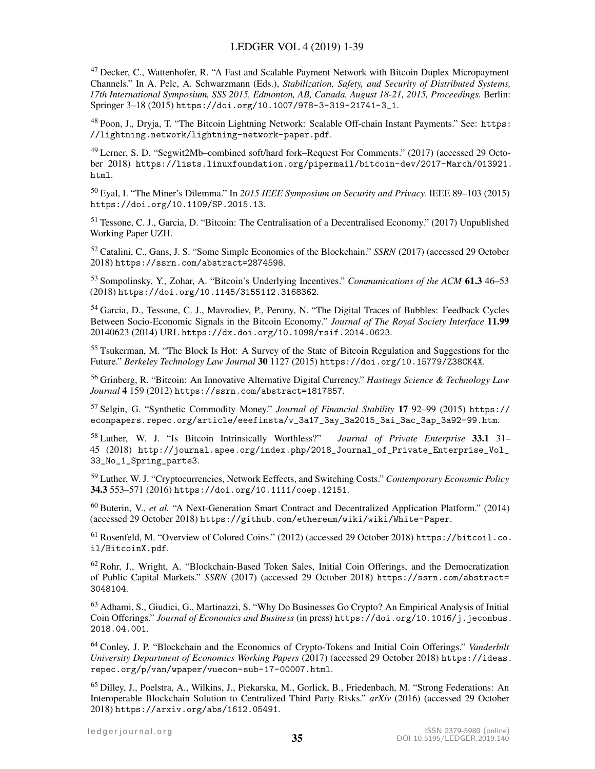<span id="page-34-0"></span><sup>47</sup> Decker, C., Wattenhofer, R. "A Fast and Scalable Payment Network with Bitcoin Duplex Micropayment Channels." In A. Pelc, A. Schwarzmann (Eds.), *Stabilization, Safety, and Security of Distributed Systems, 17th International Symposium, SSS 2015, Edmonton, AB, Canada, August 18-21, 2015, Proceedings.* Berlin: Springer 3–18 (2015) [https://doi.org/10.1007/978-3-319-21741-3\\_1](https://doi.org/10.1007/978-3-319-21741-3_1).

<span id="page-34-1"></span><sup>48</sup> Poon, J., Dryja, T. "The Bitcoin Lightning Network: Scalable Off-chain Instant Payments." See: [https:](https://lightning.network/lightning-network-paper.pdf) [//lightning.network/lightning-network-paper.pdf](https://lightning.network/lightning-network-paper.pdf).

<span id="page-34-2"></span><sup>49</sup> Lerner, S. D. "Segwit2Mb–combined soft/hard fork–Request For Comments." (2017) (accessed 29 October 2018) [https://lists.linuxfoundation.org/pipermail/bitcoin-dev/2017-March/013921.](https://lists.linuxfoundation.org/pipermail/bitcoin-dev/2017-March/013921.html) [html](https://lists.linuxfoundation.org/pipermail/bitcoin-dev/2017-March/013921.html).

<span id="page-34-3"></span><sup>50</sup> Eyal, I. "The Miner's Dilemma." In *2015 IEEE Symposium on Security and Privacy.* IEEE 89–103 (2015) <https://doi.org/10.1109/SP.2015.13>.

<span id="page-34-4"></span><sup>51</sup> Tessone, C. J., Garcia, D. "Bitcoin: The Centralisation of a Decentralised Economy." (2017) Unpublished Working Paper UZH.

<span id="page-34-5"></span><sup>52</sup> Catalini, C., Gans, J. S. "Some Simple Economics of the Blockchain." *SSRN* (2017) (accessed 29 October 2018) <https://ssrn.com/abstract=2874598>.

<span id="page-34-6"></span><sup>53</sup> Sompolinsky, Y., Zohar, A. "Bitcoin's Underlying Incentives." *Communications of the ACM* 61.3 46–53 (2018) <https://doi.org/10.1145/3155112.3168362>.

<span id="page-34-7"></span><sup>54</sup> Garcia, D., Tessone, C. J., Mavrodiev, P., Perony, N. "The Digital Traces of Bubbles: Feedback Cycles Between Socio-Economic Signals in the Bitcoin Economy." *Journal of The Royal Society Interface* 11.99 20140623 (2014) URL <https://dx.doi.org/10.1098/rsif.2014.0623>.

<span id="page-34-8"></span><sup>55</sup> Tsukerman, M. "The Block Is Hot: A Survey of the State of Bitcoin Regulation and Suggestions for the Future." *Berkeley Technology Law Journal* 30 1127 (2015) <https://doi.org/10.15779/Z38CK4X>.

<span id="page-34-9"></span><sup>56</sup> Grinberg, R. "Bitcoin: An Innovative Alternative Digital Currency." *Hastings Science & Technology Law Journal* 4 159 (2012) <https://ssrn.com/abstract=1817857>.

<sup>57</sup> Selgin, G. "Synthetic Commodity Money." *Journal of Financial Stability* 17 92–99 (2015) [https://](https://econpapers.repec.org/article/eeefinsta/v_3a17_3ay_3a2015_3ai_3ac_3ap_3a92-99.htm) [econpapers.repec.org/article/eeefinsta/v\\_3a17\\_3ay\\_3a2015\\_3ai\\_3ac\\_3ap\\_3a92-99.htm](https://econpapers.repec.org/article/eeefinsta/v_3a17_3ay_3a2015_3ai_3ac_3ap_3a92-99.htm).

<span id="page-34-10"></span><sup>58</sup> Luther, W. J. "Is Bitcoin Intrinsically Worthless?" *Journal of Private Enterprise* 33.1 31– 45 (2018) [http://journal.apee.org/index.php/2018\\_Journal\\_of\\_Private\\_Enterprise\\_Vol\\_](http://journal.apee.org/index.php/2018_Journal_of_Private_Enterprise_Vol_33_No_1_Spring_parte3) [33\\_No\\_1\\_Spring\\_parte3](http://journal.apee.org/index.php/2018_Journal_of_Private_Enterprise_Vol_33_No_1_Spring_parte3).

<span id="page-34-11"></span><sup>59</sup> Luther, W. J. "Cryptocurrencies, Network Eeffects, and Switching Costs." *Contemporary Economic Policy* 34.3 553–571 (2016) <https://doi.org/10.1111/coep.12151>.

<span id="page-34-12"></span><sup>60</sup> Buterin, V., *et al.* "A Next-Generation Smart Contract and Decentralized Application Platform." (2014) (accessed 29 October 2018) <https://github.com/ethereum/wiki/wiki/White-Paper>.

<span id="page-34-13"></span><sup>61</sup> Rosenfeld, M. "Overview of Colored Coins." (2012) (accessed 29 October 2018) [https://bitcoil.co.](https://bitcoil.co.il/BitcoinX.pdf) [il/BitcoinX.pdf](https://bitcoil.co.il/BitcoinX.pdf).

<span id="page-34-14"></span> $62$  Rohr, J., Wright, A. "Blockchain-Based Token Sales, Initial Coin Offerings, and the Democratization of Public Capital Markets." *SSRN* (2017) (accessed 29 October 2018) [https://ssrn.com/abstract=](https://ssrn.com/abstract=3048104) [3048104](https://ssrn.com/abstract=3048104).

<sup>63</sup> Adhami, S., Giudici, G., Martinazzi, S. "Why Do Businesses Go Crypto? An Empirical Analysis of Initial Coin Offerings." *Journal of Economics and Business* (in press) [https://doi.org/10.1016/j.jeconbus.](https://doi.org/10.1016/j.jeconbus.2018.04.001) [2018.04.001](https://doi.org/10.1016/j.jeconbus.2018.04.001).

<span id="page-34-15"></span><sup>64</sup> Conley, J. P. "Blockchain and the Economics of Crypto-Tokens and Initial Coin Offerings." *Vanderbilt University Department of Economics Working Papers* (2017) (accessed 29 October 2018) [https://ideas.](https://ideas.repec.org/p/van/wpaper/vuecon-sub-17-00007.html) [repec.org/p/van/wpaper/vuecon-sub-17-00007.html](https://ideas.repec.org/p/van/wpaper/vuecon-sub-17-00007.html).

<span id="page-34-16"></span><sup>65</sup> Dilley, J., Poelstra, A., Wilkins, J., Piekarska, M., Gorlick, B., Friedenbach, M. "Strong Federations: An Interoperable Blockchain Solution to Centralized Third Party Risks." *arXiv* (2016) (accessed 29 October 2018) <https://arxiv.org/abs/1612.05491>.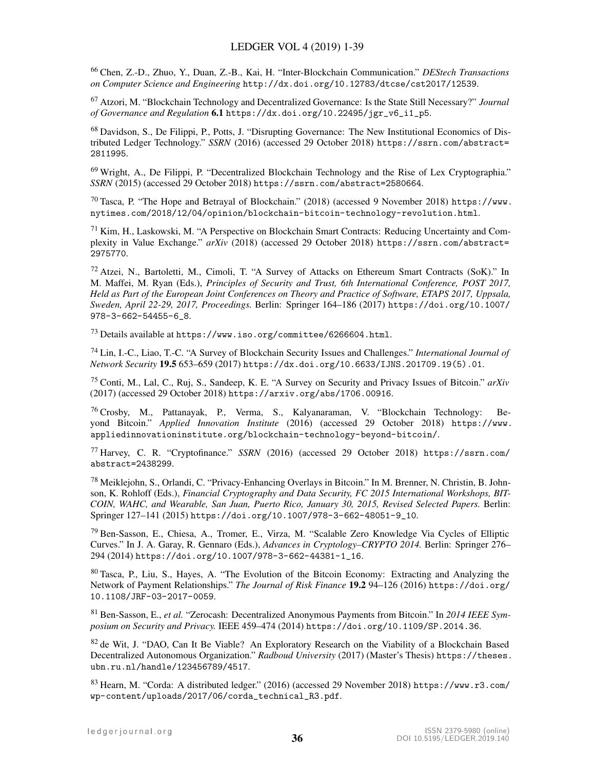<span id="page-35-0"></span><sup>66</sup> Chen, Z.-D., Zhuo, Y., Duan, Z.-B., Kai, H. "Inter-Blockchain Communication." *DEStech Transactions on Computer Science and Engineering* <http://dx.doi.org/10.12783/dtcse/cst2017/12539>.

<span id="page-35-1"></span><sup>67</sup> Atzori, M. "Blockchain Technology and Decentralized Governance: Is the State Still Necessary?" *Journal of Governance and Regulation* 6.1 [https://dx.doi.org/10.22495/jgr\\_v6\\_i1\\_p5](https://dx.doi.org/10.22495/jgr_v6_i1_p5).

<sup>68</sup> Davidson, S., De Filippi, P., Potts, J. "Disrupting Governance: The New Institutional Economics of Distributed Ledger Technology." *SSRN* (2016) (accessed 29 October 2018) [https://ssrn.com/abstract=](https://ssrn.com/abstract=2811995) [2811995](https://ssrn.com/abstract=2811995).

<span id="page-35-2"></span><sup>69</sup> Wright, A., De Filippi, P. "Decentralized Blockchain Technology and the Rise of Lex Cryptographia." *SSRN* (2015) (accessed 29 October 2018) <https://ssrn.com/abstract=2580664>.

<span id="page-35-3"></span><sup>70</sup> Tasca, P. "The Hope and Betrayal of Blockchain." (2018) (accessed 9 November 2018) [https://www.](https://www.nytimes.com/2018/12/04/opinion/blockchain-bitcoin-technology-revolution.html) [nytimes.com/2018/12/04/opinion/blockchain-bitcoin-technology-revolution.html](https://www.nytimes.com/2018/12/04/opinion/blockchain-bitcoin-technology-revolution.html).

<span id="page-35-4"></span><sup>71</sup> Kim, H., Laskowski, M. "A Perspective on Blockchain Smart Contracts: Reducing Uncertainty and Complexity in Value Exchange." *arXiv* (2018) (accessed 29 October 2018) [https://ssrn.com/abstract=](https://ssrn.com/abstract=2975770) [2975770](https://ssrn.com/abstract=2975770).

<span id="page-35-5"></span><sup>72</sup> Atzei, N., Bartoletti, M., Cimoli, T. "A Survey of Attacks on Ethereum Smart Contracts (SoK)." In M. Maffei, M. Ryan (Eds.), *Principles of Security and Trust, 6th International Conference, POST 2017, Held as Part of the European Joint Conferences on Theory and Practice of Software, ETAPS 2017, Uppsala, Sweden, April 22-29, 2017, Proceedings.* Berlin: Springer 164–186 (2017) [https://doi.org/10.1007/](https://doi.org/10.1007/978-3-662-54455-6_8) [978-3-662-54455-6\\_8](https://doi.org/10.1007/978-3-662-54455-6_8).

<span id="page-35-6"></span><sup>73</sup> Details available at <https://www.iso.org/committee/6266604.html>.

<span id="page-35-7"></span><sup>74</sup> Lin, I.-C., Liao, T.-C. "A Survey of Blockchain Security Issues and Challenges." *International Journal of Network Security* 19.5 653–659 (2017) [https://dx.doi.org/10.6633/IJNS.201709.19\(5\).01](https://dx.doi.org/10.6633/IJNS.201709.19(5).01).

<span id="page-35-8"></span><sup>75</sup> Conti, M., Lal, C., Ruj, S., Sandeep, K. E. "A Survey on Security and Privacy Issues of Bitcoin." *arXiv* (2017) (accessed 29 October 2018) <https://arxiv.org/abs/1706.00916>.

<span id="page-35-9"></span><sup>76</sup> Crosby, M., Pattanayak, P., Verma, S., Kalyanaraman, V. "Blockchain Technology: Beyond Bitcoin." *Applied Innovation Institute* (2016) (accessed 29 October 2018) [https://www.](https://www.appliedinnovationinstitute.org/blockchain-technology-beyond-bitcoin/) [appliedinnovationinstitute.org/blockchain-technology-beyond-bitcoin/](https://www.appliedinnovationinstitute.org/blockchain-technology-beyond-bitcoin/).

<span id="page-35-10"></span><sup>77</sup> Harvey, C. R. "Cryptofinance." *SSRN* (2016) (accessed 29 October 2018) [https://ssrn.com/](https://ssrn.com/abstract=2438299) [abstract=2438299](https://ssrn.com/abstract=2438299).

<span id="page-35-11"></span><sup>78</sup> Meiklejohn, S., Orlandi, C. "Privacy-Enhancing Overlays in Bitcoin." In M. Brenner, N. Christin, B. Johnson, K. Rohloff (Eds.), *Financial Cryptography and Data Security, FC 2015 International Workshops, BIT-COIN, WAHC, and Wearable, San Juan, Puerto Rico, January 30, 2015, Revised Selected Papers.* Berlin: Springer 127–141 (2015) [https://doi.org/10.1007/978-3-662-48051-9\\_10](https://doi.org/10.1007/978-3-662-48051-9_10).

<span id="page-35-12"></span><sup>79</sup> Ben-Sasson, E., Chiesa, A., Tromer, E., Virza, M. "Scalable Zero Knowledge Via Cycles of Elliptic Curves." In J. A. Garay, R. Gennaro (Eds.), *Advances in Cryptology–CRYPTO 2014.* Berlin: Springer 276– 294 (2014) [https://doi.org/10.1007/978-3-662-44381-1\\_16](https://doi.org/10.1007/978-3-662-44381-1_16).

<span id="page-35-13"></span><sup>80</sup> Tasca, P., Liu, S., Hayes, A. "The Evolution of the Bitcoin Economy: Extracting and Analyzing the Network of Payment Relationships." *The Journal of Risk Finance* 19.2 94–126 (2016) [https://doi.org/](https://doi.org/10.1108/JRF-03-2017-0059) [10.1108/JRF-03-2017-0059](https://doi.org/10.1108/JRF-03-2017-0059).

<span id="page-35-14"></span><sup>81</sup> Ben-Sasson, E., *et al.* "Zerocash: Decentralized Anonymous Payments from Bitcoin." In *2014 IEEE Symposium on Security and Privacy.* IEEE 459–474 (2014) <https://doi.org/10.1109/SP.2014.36>.

<span id="page-35-15"></span><sup>82</sup> de Wit, J. "DAO, Can It Be Viable? An Exploratory Research on the Viability of a Blockchain Based Decentralized Autonomous Organization." *Radboud University* (2017) (Master's Thesis) [https://theses.](https://theses.ubn.ru.nl/handle/123456789/4517) [ubn.ru.nl/handle/123456789/4517](https://theses.ubn.ru.nl/handle/123456789/4517).

<span id="page-35-16"></span><sup>83</sup> Hearn, M. "Corda: A distributed ledger." (2016) (accessed 29 November 2018) [https://www.r3.com/](https://www.r3.com/wp-content/uploads/2017/06/corda_technical_R3.pdf) [wp-content/uploads/2017/06/corda\\_technical\\_R3.pdf](https://www.r3.com/wp-content/uploads/2017/06/corda_technical_R3.pdf).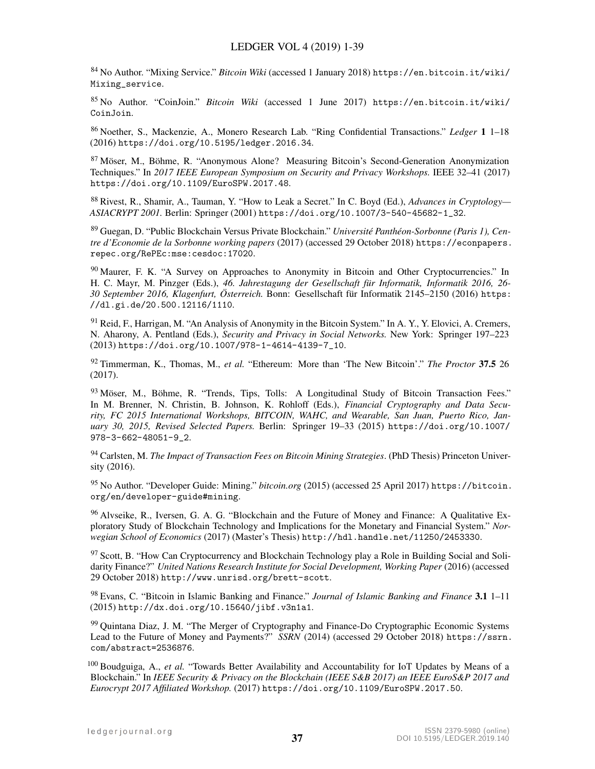<span id="page-36-0"></span><sup>84</sup> No Author. "Mixing Service." *Bitcoin Wiki* (accessed 1 January 2018) [https://en.bitcoin.it/wiki/](https://en.bitcoin.it/wiki/Mixing_service) [Mixing\\_service](https://en.bitcoin.it/wiki/Mixing_service).

<span id="page-36-1"></span><sup>85</sup> No Author. "CoinJoin." *Bitcoin Wiki* (accessed 1 June 2017) [https://en.bitcoin.it/wiki/](https://en.bitcoin.it/wiki/CoinJoin) [CoinJoin](https://en.bitcoin.it/wiki/CoinJoin).

<span id="page-36-2"></span><sup>86</sup> Noether, S., Mackenzie, A., Monero Research Lab. "Ring Confidential Transactions." *Ledger* 1 1–18 (2016) <https://doi.org/10.5195/ledger.2016.34>.

<span id="page-36-3"></span> $87$  Möser, M., Böhme, R. "Anonymous Alone? Measuring Bitcoin's Second-Generation Anonymization Techniques." In *2017 IEEE European Symposium on Security and Privacy Workshops.* IEEE 32–41 (2017) <https://doi.org/10.1109/EuroSPW.2017.48>.

<span id="page-36-4"></span><sup>88</sup> Rivest, R., Shamir, A., Tauman, Y. "How to Leak a Secret." In C. Boyd (Ed.), *Advances in Cryptology— ASIACRYPT 2001.* Berlin: Springer (2001) [https://doi.org/10.1007/3-540-45682-1\\_32](https://doi.org/10.1007/3-540-45682-1_32).

<span id="page-36-5"></span>89 Guegan, D. "Public Blockchain Versus Private Blockchain." *Université Panthéon-Sorbonne (Paris 1), Centre d'Economie de la Sorbonne working papers* (2017) (accessed 29 October 2018) [https://econpapers.](https://econpapers.repec.org/RePEc:mse:cesdoc:17020) [repec.org/RePEc:mse:cesdoc:17020](https://econpapers.repec.org/RePEc:mse:cesdoc:17020).

<span id="page-36-6"></span><sup>90</sup> Maurer, F. K. "A Survey on Approaches to Anonymity in Bitcoin and Other Cryptocurrencies." In H. C. Mayr, M. Pinzger (Eds.), *46. Jahrestagung der Gesellschaft fur Informatik, Informatik 2016, 26- ¨* 30 September 2016, Klagenfurt, Österreich. Bonn: Gesellschaft für Informatik 2145–2150 (2016) [https:](https://dl.gi.de/20.500.12116/1110) [//dl.gi.de/20.500.12116/1110](https://dl.gi.de/20.500.12116/1110).

<span id="page-36-7"></span><sup>91</sup> Reid, F., Harrigan, M. "An Analysis of Anonymity in the Bitcoin System." In A. Y., Y. Elovici, A. Cremers, N. Aharony, A. Pentland (Eds.), *Security and Privacy in Social Networks.* New York: Springer 197–223 (2013) [https://doi.org/10.1007/978-1-4614-4139-7\\_10](https://doi.org/10.1007/978-1-4614-4139-7_10).

<span id="page-36-8"></span><sup>92</sup> Timmerman, K., Thomas, M., *et al.* "Ethereum: More than 'The New Bitcoin'." *The Proctor* 37.5 26 (2017).

<span id="page-36-9"></span> $93$  Möser, M., Böhme, R. "Trends, Tips, Tolls: A Longitudinal Study of Bitcoin Transaction Fees." In M. Brenner, N. Christin, B. Johnson, K. Rohloff (Eds.), *Financial Cryptography and Data Security, FC 2015 International Workshops, BITCOIN, WAHC, and Wearable, San Juan, Puerto Rico, January 30, 2015, Revised Selected Papers.* Berlin: Springer 19–33 (2015) [https://doi.org/10.1007/](https://doi.org/10.1007/978-3-662-48051-9_2) [978-3-662-48051-9\\_2](https://doi.org/10.1007/978-3-662-48051-9_2).

<span id="page-36-10"></span><sup>94</sup> Carlsten, M. *The Impact of Transaction Fees on Bitcoin Mining Strategies*. (PhD Thesis) Princeton University (2016).

<span id="page-36-11"></span><sup>95</sup> No Author. "Developer Guide: Mining." *bitcoin.org* (2015) (accessed 25 April 2017) [https://bitcoin.](https://bitcoin.org/en/developer-guide#mining) [org/en/developer-guide#mining](https://bitcoin.org/en/developer-guide#mining).

<span id="page-36-12"></span><sup>96</sup> Alvseike, R., Iversen, G. A. G. "Blockchain and the Future of Money and Finance: A Qualitative Exploratory Study of Blockchain Technology and Implications for the Monetary and Financial System." *Norwegian School of Economics* (2017) (Master's Thesis) <http://hdl.handle.net/11250/2453330>.

<sup>97</sup> Scott, B. "How Can Cryptocurrency and Blockchain Technology play a Role in Building Social and Solidarity Finance?" *United Nations Research Institute for Social Development, Working Paper* (2016) (accessed 29 October 2018) <http://www.unrisd.org/brett-scott>.

<sup>98</sup> Evans, C. "Bitcoin in Islamic Banking and Finance." *Journal of Islamic Banking and Finance* 3.1 1–11 (2015) <http://dx.doi.org/10.15640/jibf.v3n1a1>.

<span id="page-36-13"></span><sup>99</sup> Quintana Diaz, J. M. "The Merger of Cryptography and Finance-Do Cryptographic Economic Systems Lead to the Future of Money and Payments?" *SSRN* (2014) (accessed 29 October 2018) [https://ssrn.](https://ssrn.com/abstract=2536876) [com/abstract=2536876](https://ssrn.com/abstract=2536876).

<span id="page-36-14"></span><sup>100</sup> Boudguiga, A., *et al.* "Towards Better Availability and Accountability for IoT Updates by Means of a Blockchain." In *IEEE Security & Privacy on the Blockchain (IEEE S&B 2017) an IEEE EuroS&P 2017 and Eurocrypt 2017 Affiliated Workshop.* (2017) <https://doi.org/10.1109/EuroSPW.2017.50>.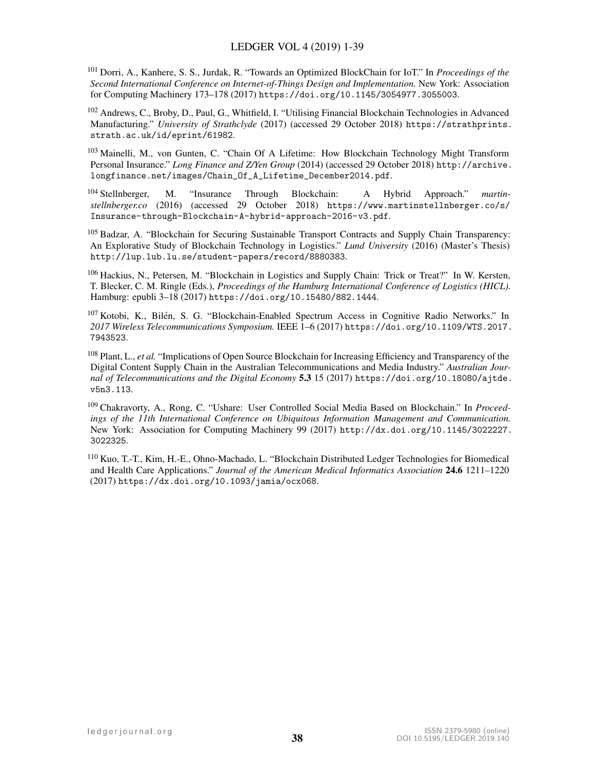<span id="page-37-0"></span><sup>101</sup> Dorri, A., Kanhere, S. S., Jurdak, R. "Towards an Optimized BlockChain for IoT." In *Proceedings of the Second International Conference on Internet-of-Things Design and Implementation.* New York: Association for Computing Machinery 173–178 (2017) <https://doi.org/10.1145/3054977.3055003>.

<span id="page-37-1"></span><sup>102</sup> Andrews, C., Broby, D., Paul, G., Whitfield, I. "Utilising Financial Blockchain Technologies in Advanced Manufacturing." *University of Strathclyde* (2017) (accessed 29 October 2018) [https://strathprints.](https://strathprints.strath.ac.uk/id/eprint/61982) [strath.ac.uk/id/eprint/61982](https://strathprints.strath.ac.uk/id/eprint/61982).

<span id="page-37-2"></span><sup>103</sup> Mainelli, M., von Gunten, C. "Chain Of A Lifetime: How Blockchain Technology Might Transform Personal Insurance." *Long Finance and Z/Yen Group* (2014) (accessed 29 October 2018) [http://archive.](http://archive.longfinance.net/images/Chain_Of_A_Lifetime_December2014.pdf) [longfinance.net/images/Chain\\_Of\\_A\\_Lifetime\\_December2014.pdf](http://archive.longfinance.net/images/Chain_Of_A_Lifetime_December2014.pdf).

<span id="page-37-3"></span><sup>104</sup> Stellnberger, M. "Insurance Through Blockchain: A Hybrid Approach." *martinstellnberger.co* (2016) (accessed 29 October 2018) [https://www.martinstellnberger.co/s/](https://www.martinstellnberger.co/s/Insurance-through-Blockchain-A-hybrid-approach-2016-v3.pdf) [Insurance-through-Blockchain-A-hybrid-approach-2016-v3.pdf](https://www.martinstellnberger.co/s/Insurance-through-Blockchain-A-hybrid-approach-2016-v3.pdf).

<span id="page-37-4"></span><sup>105</sup> Badzar, A. "Blockchain for Securing Sustainable Transport Contracts and Supply Chain Transparency: An Explorative Study of Blockchain Technology in Logistics." *Lund University* (2016) (Master's Thesis) <http://lup.lub.lu.se/student-papers/record/8880383>.

<span id="page-37-5"></span><sup>106</sup> Hackius, N., Petersen, M. "Blockchain in Logistics and Supply Chain: Trick or Treat?" In W. Kersten, T. Blecker, C. M. Ringle (Eds.), *Proceedings of the Hamburg International Conference of Logistics (HICL).* Hamburg: epubli 3–18 (2017) <https://doi.org/10.15480/882.1444>.

<span id="page-37-6"></span><sup>107</sup> Kotobi, K., Bilén, S. G. "Blockchain-Enabled Spectrum Access in Cognitive Radio Networks." In *2017 Wireless Telecommunications Symposium.* IEEE 1–6 (2017) [https://doi.org/10.1109/WTS.2017.](https://doi.org/10.1109/WTS.2017.7943523) [7943523](https://doi.org/10.1109/WTS.2017.7943523).

<span id="page-37-7"></span><sup>108</sup> Plant, L., *et al.* "Implications of Open Source Blockchain for Increasing Efficiency and Transparency of the Digital Content Supply Chain in the Australian Telecommunications and Media Industry." *Australian Journal of Telecommunications and the Digital Economy* 5.3 15 (2017) [https://doi.org/10.18080/ajtde.](https://doi.org/10.18080/ajtde.v5n3.113) [v5n3.113](https://doi.org/10.18080/ajtde.v5n3.113).

<span id="page-37-8"></span><sup>109</sup> Chakravorty, A., Rong, C. "Ushare: User Controlled Social Media Based on Blockchain." In *Proceedings of the 11th International Conference on Ubiquitous Information Management and Communication.* New York: Association for Computing Machinery 99 (2017) [http://dx.doi.org/10.1145/3022227.](http://dx.doi.org/10.1145/3022227.3022325) [3022325](http://dx.doi.org/10.1145/3022227.3022325).

<span id="page-37-9"></span><sup>110</sup> Kuo, T.-T., Kim, H.-E., Ohno-Machado, L. "Blockchain Distributed Ledger Technologies for Biomedical and Health Care Applications." *Journal of the American Medical Informatics Association* 24.6 1211–1220 (2017) <https://dx.doi.org/10.1093/jamia/ocx068>.